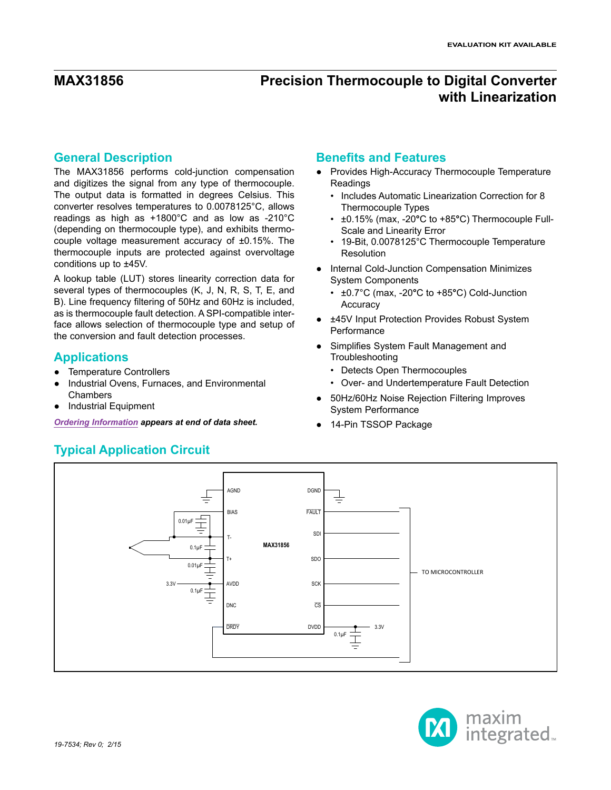### **General Description**

The MAX31856 performs cold-junction compensation and digitizes the signal from any type of thermocouple. The output data is formatted in degrees Celsius. This converter resolves temperatures to 0.0078125°C, allows readings as high as +1800°C and as low as -210°C (depending on thermocouple type), and exhibits thermocouple voltage measurement accuracy of ±0.15%. The thermocouple inputs are protected against overvoltage conditions up to ±45V.

A lookup table (LUT) stores linearity correction data for several types of thermocouples (K, J, N, R, S, T, E, and B). Line frequency filtering of 50Hz and 60Hz is included, as is thermocouple fault detection. A SPI-compatible interface allows selection of thermocouple type and setup of the conversion and fault detection processes.

# **Applications**

- Temperature Controllers
- Industrial Ovens, Furnaces, and Environmental **Chambers**
- **Industrial Equipment**

*[Ordering Information](#page-28-0) appears at end of data sheet.* **• <b>•** 14-Pin TSSOP Package

# <span id="page-0-0"></span>**Typical Application Circuit**

# **Benefits and Features**

- Provides High-Accuracy Thermocouple Temperature Readings
	- Includes Automatic Linearization Correction for 8 Thermocouple Types
	- ±0.15% (max, -20**°**C to +85**°**C) Thermocouple Full-Scale and Linearity Error
	- 19-Bit, 0.0078125°C Thermocouple Temperature Resolution
- Internal Cold-Junction Compensation Minimizes System Components
	- ±0.7°C (max, -20**°**C to +85**°**C) Cold-Junction **Accuracy**
- ±45V Input Protection Provides Robust System **Performance**
- Simplifies System Fault Management and Troubleshooting
	- Detects Open Thermocouples
	- Over- and Undertemperature Fault Detection
- 50Hz/60Hz Noise Rejection Filtering Improves System Performance
- 



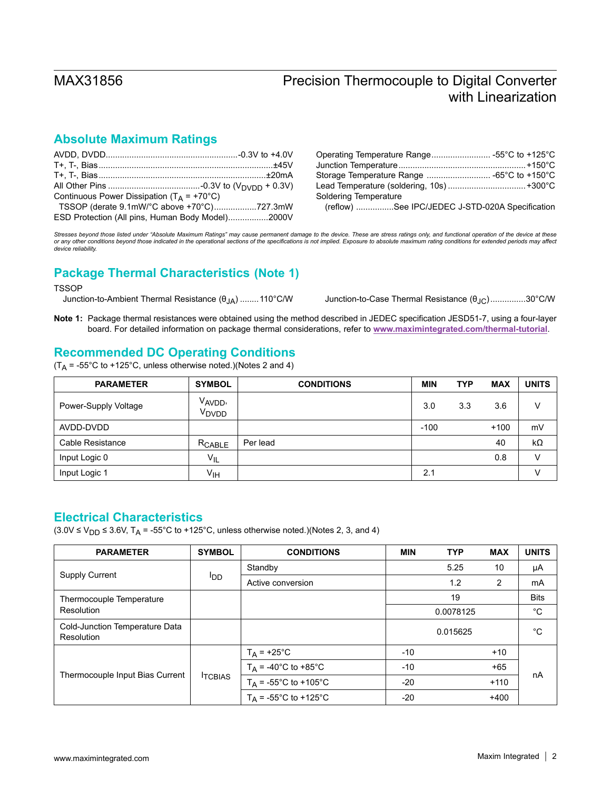# **Absolute Maximum Ratings**

| Continuous Power Dissipation ( $T_A$ = +70°C)    |  |
|--------------------------------------------------|--|
| TSSOP (derate 9.1mW/°C above +70°C)727.3mW       |  |
| ESD Protection (All pins, Human Body Model)2000V |  |

| Storage Temperature Range  -65°C to +150°C |  |
|--------------------------------------------|--|
|                                            |  |
| Soldering Temperature                      |  |
|                                            |  |

(reflow) ................See IPC/JEDEC J-STD-020A Specification

*Stresses beyond those listed under "Absolute Maximum Ratings" may cause permanent damage to the device. These are stress ratings only, and functional operation of the device at these or any other conditions beyond those indicated in the operational sections of the specifications is not implied. Exposure to absolute maximum rating conditions for extended periods may affect device reliability.*

# **Package Thermal Characteristics (Note 1)**

### **TSSOP**

Junction-to-Ambient Thermal Resistance (θJA) ........110°C/W Junction-to-Case Thermal Resistance (θJC)...............30°C/W

**Note 1:** Package thermal resistances were obtained using the method described in JEDEC specification JESD51-7, using a four-layer board. For detailed information on package thermal considerations, refer to **[www.maximintegrated.com/thermal-tutorial](http://www.maximintegrated.com/thermal-tutorial)**.

# **Recommended DC Operating Conditions**

 $(T_A = -55^{\circ}$ C to +125°C, unless otherwise noted.)(Notes 2 and 4)

| <b>PARAMETER</b>     | <b>SYMBOL</b>                            | <b>CONDITIONS</b> | <b>MIN</b> | <b>TYP</b> | <b>MAX</b> | <b>UNITS</b> |
|----------------------|------------------------------------------|-------------------|------------|------------|------------|--------------|
| Power-Supply Voltage | V <sub>AVDD</sub> ,<br>V <sub>DVDD</sub> |                   | 3.0        | 3.3        | 3.6        | v            |
| AVDD-DVDD            |                                          |                   | $-100$     |            | $+100$     | mV           |
| Cable Resistance     | RCABLE                                   | Per lead          |            |            | 40         | $k\Omega$    |
| Input Logic 0        | $V_{IL}$                                 |                   |            |            | 0.8        | v            |
| Input Logic 1        | ۷ін                                      |                   | 2.1        |            |            | v            |

# <span id="page-1-0"></span>**Electrical Characteristics**

 $(3.0\vee \leq V_{DD} \leq 3.6\vee, T_A = -55^{\circ}C$  to +125°C, unless otherwise noted.)(Notes 2, 3, and 4)

| <b>PARAMETER</b>                             | <b>SYMBOL</b>   | <b>CONDITIONS</b>             | <b>MIN</b> | <b>TYP</b> | <b>MAX</b>     | <b>UNITS</b> |
|----------------------------------------------|-----------------|-------------------------------|------------|------------|----------------|--------------|
| <b>Supply Current</b>                        |                 | Standby                       |            | 5.25       | 10             | μA           |
|                                              | l <sub>DD</sub> | Active conversion             |            | 1.2        | $\overline{2}$ | mA           |
| Thermocouple Temperature                     |                 |                               |            | 19         |                | <b>Bits</b>  |
| Resolution                                   |                 |                               |            | 0.0078125  |                | $^{\circ}C$  |
| Cold-Junction Temperature Data<br>Resolution |                 |                               | 0.015625   |            |                | °C           |
|                                              | <b>ITCBIAS</b>  | $T_A$ = +25°C                 | $-10$      |            | $+10$          |              |
| Thermocouple Input Bias Current              |                 | $T_A = -40^{\circ}C$ to +85°C | $-10$      |            | $+65$          |              |
|                                              |                 | $T_A$ = -55°C to +105°C       | $-20$      |            | $+110$         | nA           |
|                                              |                 | $T_A$ = -55°C to +125°C       | $-20$      |            | $+400$         |              |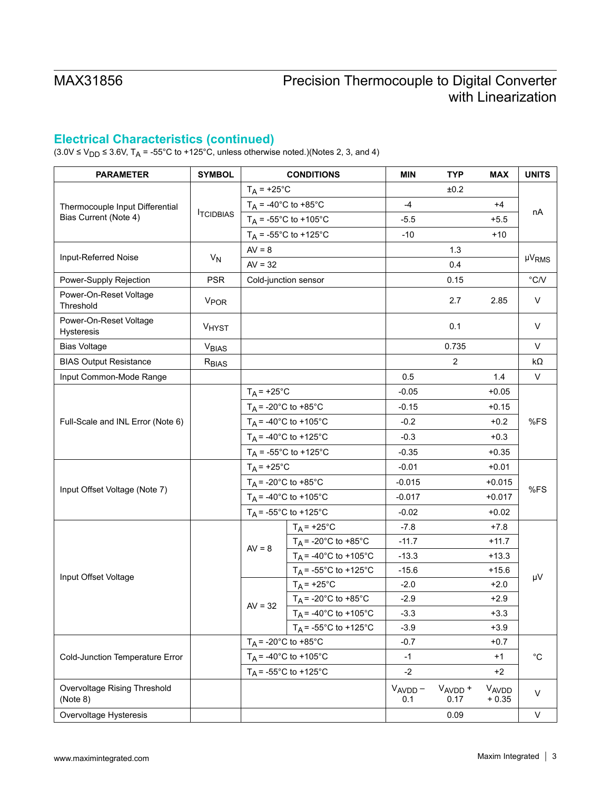# **Electrical Characteristics (continued)**

(3.0V ≤ V<sub>DD</sub> ≤ 3.6V, T<sub>A</sub> = -55°C to +125°C, unless otherwise noted.)(Notes 2, 3, and 4)

| <b>PARAMETER</b>                         | <b>SYMBOL</b>           |                                         | <b>CONDITIONS</b>                       | <b>MIN</b>          | <b>TYP</b>                  | <b>MAX</b>       | <b>UNITS</b>      |  |
|------------------------------------------|-------------------------|-----------------------------------------|-----------------------------------------|---------------------|-----------------------------|------------------|-------------------|--|
|                                          |                         |                                         | $T_A$ = +25°C                           |                     | ±0.2                        |                  |                   |  |
| Thermocouple Input Differential          |                         |                                         | $T_A = -40^{\circ}C$ to $+85^{\circ}C$  | $-4$                |                             | $+4$             |                   |  |
| Bias Current (Note 4)                    | <b>TCIDBIAS</b>         | $T_A$ = -55°C to +105°C                 |                                         | $-5.5$              |                             | $+5.5$           | nA                |  |
|                                          |                         |                                         | $T_A = -55^{\circ}C$ to +125°C          | $-10$               |                             | $+10$            |                   |  |
|                                          |                         | $AV = 8$                                |                                         |                     | 1.3                         |                  |                   |  |
| Input-Referred Noise                     | $V_N$                   | $AV = 32$                               |                                         |                     | 0.4                         |                  | µV <sub>RMS</sub> |  |
| Power-Supply Rejection                   | <b>PSR</b>              |                                         | Cold-junction sensor                    |                     | 0.15                        |                  | $\degree$ C/V     |  |
| Power-On-Reset Voltage<br>Threshold      | <b>V<sub>POR</sub></b>  |                                         |                                         |                     | 2.7                         | 2.85             | $\vee$            |  |
| Power-On-Reset Voltage<br>Hysteresis     | VHYST                   |                                         |                                         |                     | 0.1                         |                  | V                 |  |
| <b>Bias Voltage</b>                      | <b>V<sub>BIAS</sub></b> |                                         |                                         |                     | 0.735                       |                  | V                 |  |
| <b>BIAS Output Resistance</b>            | R <sub>BIAS</sub>       |                                         |                                         |                     | $\overline{c}$              |                  | $k\Omega$         |  |
| Input Common-Mode Range                  |                         |                                         |                                         | 0.5                 |                             | 1.4              | V                 |  |
|                                          |                         | $T_A$ = +25°C                           |                                         | $-0.05$             |                             | $+0.05$          |                   |  |
| Full-Scale and INL Error (Note 6)        |                         | $T_A$ = -20°C to +85°C                  |                                         | $-0.15$             |                             | $+0.15$          |                   |  |
|                                          |                         |                                         | $T_A$ = -40°C to +105°C                 | $-0.2$              |                             | $+0.2$           | %FS               |  |
|                                          |                         | $T_A$ = -40°C to +125°C                 |                                         | $-0.3$              |                             | $+0.3$           |                   |  |
|                                          |                         | $T_A = -55^{\circ}C$ to +125°C          |                                         | $-0.35$             |                             | $+0.35$          |                   |  |
|                                          |                         | $T_A$ = +25°C<br>$T_A$ = -20°C to +85°C |                                         | $-0.01$             |                             | $+0.01$          | %FS               |  |
|                                          |                         |                                         |                                         | $-0.015$            |                             | $+0.015$         |                   |  |
| Input Offset Voltage (Note 7)            |                         | $T_A = -40^{\circ}$ C to +105°C         |                                         | $-0.017$            |                             | $+0.017$         |                   |  |
|                                          |                         | $T_A$ = -55°C to +125°C                 |                                         | $-0.02$             |                             | $+0.02$          |                   |  |
|                                          |                         |                                         | $T_A$ = +25°C                           | $-7.8$              |                             | $+7.8$           |                   |  |
|                                          |                         | $AV = 8$                                | $T_A$ = -20°C to +85°C                  | $-11.7$             |                             | $+11.7$          |                   |  |
|                                          |                         |                                         | $T_A = -40^{\circ}C$ to +105°C          | $-13.3$             |                             | $+13.3$          | μV                |  |
| Input Offset Voltage                     |                         |                                         | $T_A = -55^{\circ}$ C to +125°C         | $-15.6$             |                             | $+15.6$          |                   |  |
|                                          |                         |                                         | $T_A$ = +25°C                           | $-2.0$              |                             | $+2.0$           |                   |  |
|                                          |                         | $AV = 32$                               | $T_A$ = -20°C to +85°C                  | $-2.9$              |                             | $+2.9$           |                   |  |
|                                          |                         |                                         | $T_A = -40^{\circ}C$ to $+105^{\circ}C$ | $-3.3$              |                             | $+3.3$           |                   |  |
|                                          |                         |                                         | $T_A$ = -55°C to +125°C                 | $-3.9$              |                             | $+3.9$           |                   |  |
|                                          |                         |                                         | $T_A$ = -20°C to +85°C                  | $-0.7$              |                             | $+0.7$           |                   |  |
| Cold-Junction Temperature Error          |                         |                                         | $T_A$ = -40°C to +105°C                 | $-1$                |                             | $+1$             | $^{\circ}{\rm C}$ |  |
|                                          |                         |                                         | $T_A = -55^{\circ}$ C to +125°C         | $-2$                |                             | $+2$             |                   |  |
| Overvoltage Rising Threshold<br>(Note 8) |                         |                                         |                                         | $V_{AVDD}$ –<br>0.1 | V <sub>AVDD</sub> +<br>0.17 | VAVDD<br>$+0.35$ | $\vee$            |  |
| Overvoltage Hysteresis                   |                         |                                         |                                         |                     | 0.09                        |                  | V                 |  |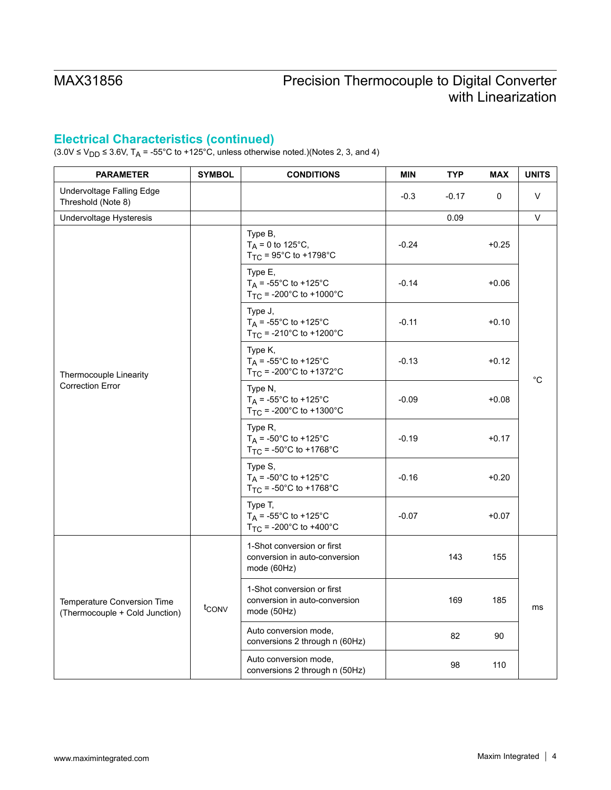# **Electrical Characteristics (continued)**

 $(3.0\vee\leq\vee_{DD}\leq 3.6\vee, T_A = -55^{\circ}\text{C}$  to +125°C, unless otherwise noted.)(Notes 2, 3, and 4)

| <b>PARAMETER</b>                                              | <b>SYMBOL</b>     | <b>CONDITIONS</b>                                                          | <b>MIN</b> | <b>TYP</b> | <b>MAX</b> | <b>UNITS</b> |  |
|---------------------------------------------------------------|-------------------|----------------------------------------------------------------------------|------------|------------|------------|--------------|--|
| Undervoltage Falling Edge<br>Threshold (Note 8)               |                   |                                                                            | $-0.3$     | $-0.17$    | 0          | V            |  |
| Undervoltage Hysteresis                                       |                   |                                                                            |            | 0.09       |            | V            |  |
|                                                               |                   | Type B,<br>$T_A = 0$ to 125°C,<br>$T_{TC}$ = 95°C to +1798°C               | $-0.24$    |            | $+0.25$    |              |  |
|                                                               |                   | Type E,<br>$T_A$ = -55°C to +125°C<br>$T_{TC}$ = -200°C to +1000°C         | $-0.14$    |            | $+0.06$    |              |  |
|                                                               |                   | Type J,<br>$T_A$ = -55°C to +125°C<br>$T_{TC}$ = -210°C to +1200°C         | $-0.11$    |            | $+0.10$    |              |  |
| Thermocouple Linearity                                        |                   | Type K,<br>$T_A$ = -55°C to +125°C<br>$T_{TC}$ = -200°C to +1372°C         | $-0.13$    |            | $+0.12$    | °C           |  |
| <b>Correction Error</b>                                       |                   | Type N,<br>$T_A = -55^{\circ}C$ to +125°C<br>$T_{TC}$ = -200°C to +1300°C  | $-0.09$    |            | $+0.08$    |              |  |
|                                                               |                   | Type R,<br>$T_A$ = -50°C to +125°C<br>$T_{TC}$ = -50°C to +1768°C          | $-0.19$    |            | $+0.17$    |              |  |
|                                                               |                   | Type S,<br>$T_A = -50^{\circ}$ C to +125°C<br>$T_{TC}$ = -50°C to +1768°C  | $-0.16$    |            | $+0.20$    |              |  |
|                                                               |                   | Type T,<br>$T_A = -55^{\circ}C$ to +125°C<br>$T_{TC}$ = -200°C to +400°C   | $-0.07$    |            | $+0.07$    |              |  |
|                                                               | t <sub>CONV</sub> | 1-Shot conversion or first<br>conversion in auto-conversion<br>mode (60Hz) |            | 143        | 155        |              |  |
| Temperature Conversion Time<br>(Thermocouple + Cold Junction) |                   | 1-Shot conversion or first<br>conversion in auto-conversion<br>mode (50Hz) |            | 169        | 185        | ms           |  |
|                                                               |                   | Auto conversion mode,<br>conversions 2 through n (60Hz)                    |            | 82         | 90         |              |  |
|                                                               |                   | Auto conversion mode,<br>conversions 2 through n (50Hz)                    |            | 98         | 110        |              |  |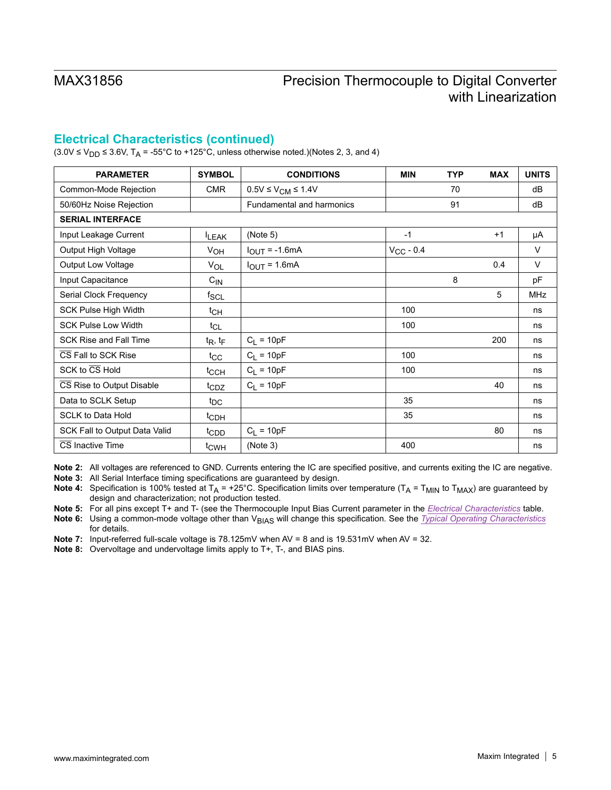# **Electrical Characteristics (continued)**

 $(3.0\text{V} \le V_{\text{DD}} \le 3.6\text{V}, T_A = -55^{\circ}\text{C}$  to +125°C, unless otherwise noted.)(Notes 2, 3, and 4)

| <b>PARAMETER</b>              | <b>SYMBOL</b>    | <b>CONDITIONS</b>            | <b>MIN</b>     | <b>TYP</b> | <b>MAX</b> | <b>UNITS</b> |
|-------------------------------|------------------|------------------------------|----------------|------------|------------|--------------|
| Common-Mode Rejection         | <b>CMR</b>       | $0.5V \leq V_{CM} \leq 1.4V$ |                | 70         |            | dB           |
| 50/60Hz Noise Rejection       |                  | Fundamental and harmonics    |                | 91         |            | dB           |
| <b>SERIAL INTERFACE</b>       |                  |                              |                |            |            |              |
| Input Leakage Current         | <b>ILEAK</b>     | (Note 5)                     | $-1$           |            | $+1$       | μA           |
| Output High Voltage           | V <sub>OH</sub>  | $I_{OUT} = -1.6mA$           | $V_{CC}$ - 0.4 |            |            | V            |
| Output Low Voltage            | $V_{OL}$         | $I_{OUT} = 1.6mA$            |                |            | 0.4        | V            |
| Input Capacitance             | $C_{\text{IN}}$  |                              |                | 8          |            | pF           |
| Serial Clock Frequency        | $f_{SCL}$        |                              |                |            | 5          | <b>MHz</b>   |
| <b>SCK Pulse High Width</b>   | t <sub>CH</sub>  |                              | 100            |            |            | ns           |
| <b>SCK Pulse Low Width</b>    | $t_{CL}$         |                              | 100            |            |            | ns           |
| <b>SCK Rise and Fall Time</b> | $t_R$ , $t_F$    | $C_L = 10pF$                 |                |            | 200        | ns           |
| CS Fall to SCK Rise           | $t_{\rm CC}$     | $C_L = 10pF$                 | 100            |            |            | ns           |
| SCK to CS Hold                | t <sub>CCH</sub> | $C_L = 10pF$                 | 100            |            |            | ns           |
| CS Rise to Output Disable     | t <sub>CDZ</sub> | $C_1 = 10pF$                 |                |            | 40         | ns           |
| Data to SCLK Setup            | t <sub>DC</sub>  |                              | 35             |            |            | ns           |
| <b>SCLK to Data Hold</b>      | t <sub>CDH</sub> |                              | 35             |            |            | ns           |
| SCK Fall to Output Data Valid | t <sub>CDD</sub> | $C_L = 10pF$                 |                |            | 80         | ns           |
| CS Inactive Time              | t <sub>CWH</sub> | (Note 3)                     | 400            |            |            | ns           |

**Note 2:** All voltages are referenced to GND. Currents entering the IC are specified positive, and currents exiting the IC are negative.

**Note 3:** All Serial Interface timing specifications are guaranteed by design.

**Note 4:** Specification is 100% tested at  $T_A = +25^{\circ}$ C. Specification limits over temperature ( $T_A = T_{MIN}$  to  $T_{MAX}$ ) are guaranteed by design and characterization; not production tested.

**Note 5:** For all pins except T+ and T- (see the Thermocouple Input Bias Current parameter in the *[Electrical Characteristics](#page-1-0)* table.

**Note 6:** Using a common-mode voltage other than VBIAS will change this specification. See the *[Typical Operating Characteristics](#page-6-0)* for details.

**Note 7:** Input-referred full-scale voltage is 78.125mV when AV = 8 and is 19.531mV when AV = 32.

**Note 8:** Overvoltage and undervoltage limits apply to T+, T-, and BIAS pins.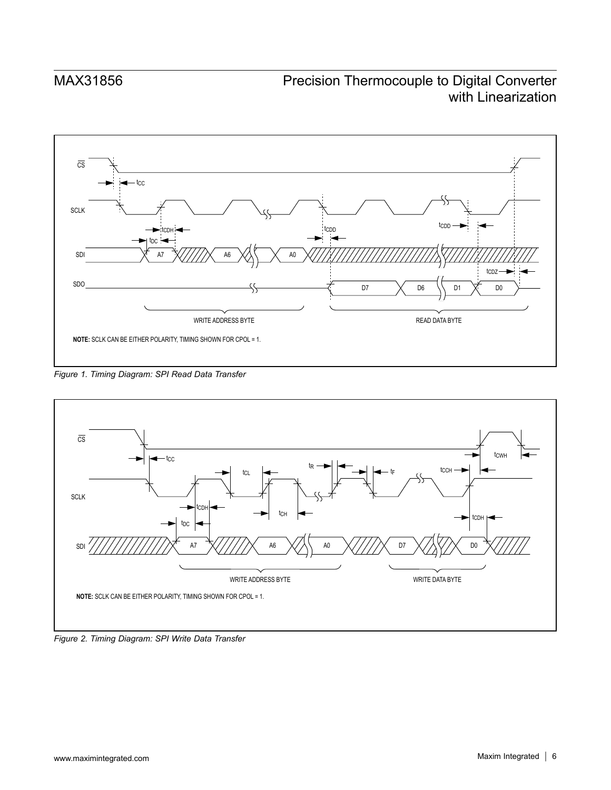

*Figure 1. Timing Diagram: SPI Read Data Transfer*



*Figure 2. Timing Diagram: SPI Write Data Transfer*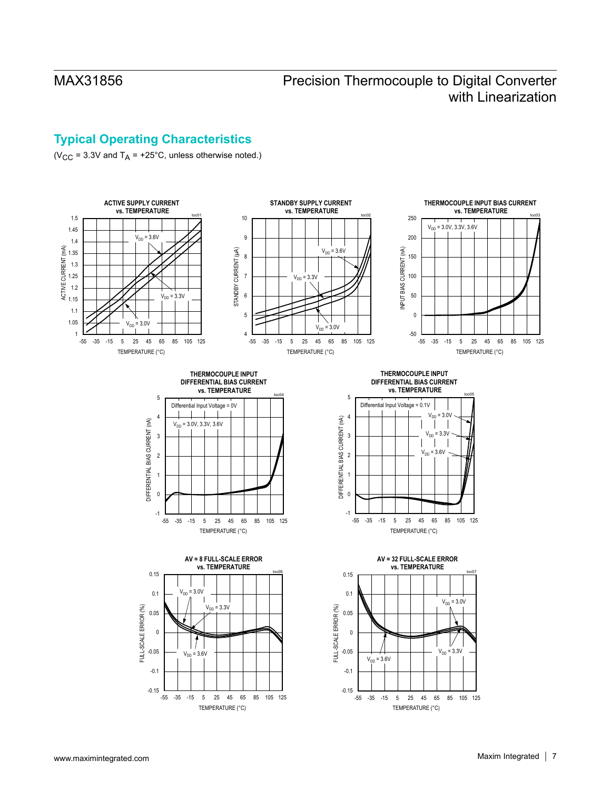# <span id="page-6-0"></span>**Typical Operating Characteristics**

( $V_{CC}$  = 3.3V and  $T_A$  = +25°C, unless otherwise noted.)

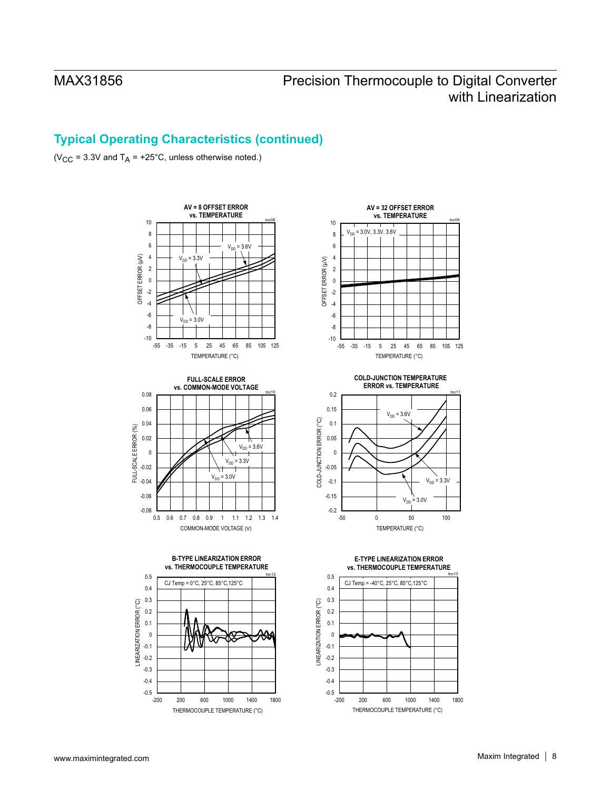# **Typical Operating Characteristics (continued)**

( $V_{CC}$  = 3.3V and T<sub>A</sub> = +25°C, unless otherwise noted.)













THERMOCOUPLE TEMPERATURE (°C)



# **ERROR vs. TEMPERATURE**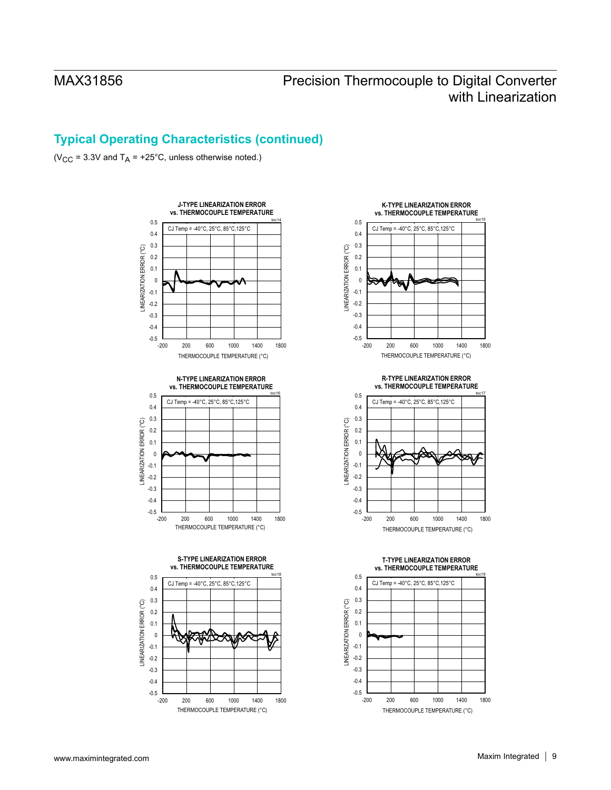# **Typical Operating Characteristics (continued)**

( $V_{CC}$  = 3.3V and T<sub>A</sub> = +25°C, unless otherwise noted.)





-0.4 -0.3 -0.2 -0.1 0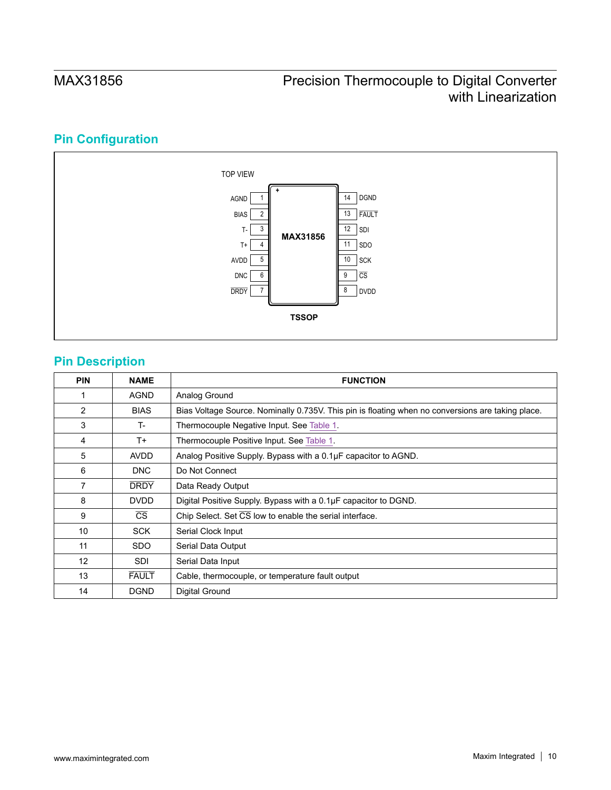# **Pin Configuration**



# **Pin Description**

| <b>PIN</b>      | <b>NAME</b>            | <b>FUNCTION</b>                                                                                   |
|-----------------|------------------------|---------------------------------------------------------------------------------------------------|
|                 | <b>AGND</b>            | Analog Ground                                                                                     |
| $\mathfrak{p}$  | <b>BIAS</b>            | Bias Voltage Source. Nominally 0.735V. This pin is floating when no conversions are taking place. |
| 3               | T-                     | Thermocouple Negative Input. See Table 1.                                                         |
| 4               | $T+$                   | Thermocouple Positive Input. See Table 1.                                                         |
| 5               | <b>AVDD</b>            | Analog Positive Supply. Bypass with a 0.1µF capacitor to AGND.                                    |
| 6               | <b>DNC</b>             | Do Not Connect                                                                                    |
| 7               | <b>DRDY</b>            | Data Ready Output                                                                                 |
| 8               | <b>DVDD</b>            | Digital Positive Supply. Bypass with a 0.1µF capacitor to DGND.                                   |
| 9               | $\overline{\text{CS}}$ | Chip Select. Set CS low to enable the serial interface.                                           |
| 10              | <b>SCK</b>             | Serial Clock Input                                                                                |
| 11              | <b>SDO</b>             | Serial Data Output                                                                                |
| 12 <sup>2</sup> | SDI                    | Serial Data Input                                                                                 |
| 13              | <b>FAULT</b>           | Cable, thermocouple, or temperature fault output                                                  |
| 14              | <b>DGND</b>            | Digital Ground                                                                                    |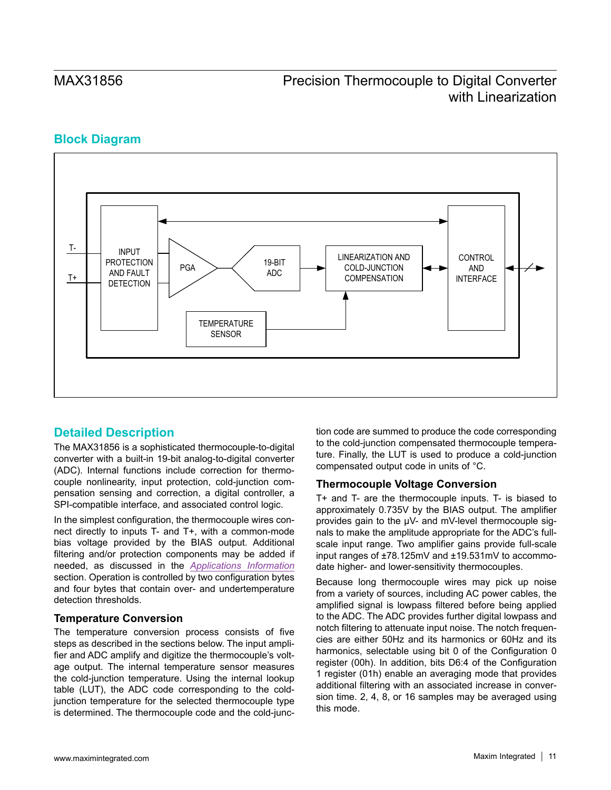# **Block Diagram**



# **Detailed Description**

The MAX31856 is a sophisticated thermocouple-to-digital converter with a built-in 19-bit analog-to-digital converter (ADC). Internal functions include correction for thermocouple nonlinearity, input protection, cold-junction compensation sensing and correction, a digital controller, a SPI-compatible interface, and associated control logic.

In the simplest configuration, the thermocouple wires connect directly to inputs T- and T+, with a common-mode bias voltage provided by the BIAS output. Additional filtering and/or protection components may be added if needed, as discussed in the *[Applications Information](#page-26-0)* section. Operation is controlled by two configuration bytes and four bytes that contain over- and undertemperature detection thresholds.

### **Temperature Conversion**

The temperature conversion process consists of five steps as described in the sections below. The input amplifier and ADC amplify and digitize the thermocouple's voltage output. The internal temperature sensor measures the cold-junction temperature. Using the internal lookup table (LUT), the ADC code corresponding to the coldjunction temperature for the selected thermocouple type is determined. The thermocouple code and the cold-junction code are summed to produce the code corresponding to the cold-junction compensated thermocouple temperature. Finally, the LUT is used to produce a cold-junction compensated output code in units of °C.

### **Thermocouple Voltage Conversion**

T+ and T- are the thermocouple inputs. T- is biased to approximately 0.735V by the BIAS output. The amplifier provides gain to the μV- and mV-level thermocouple signals to make the amplitude appropriate for the ADC's fullscale input range. Two amplifier gains provide full-scale input ranges of ±78.125mV and ±19.531mV to accommodate higher- and lower-sensitivity thermocouples.

Because long thermocouple wires may pick up noise from a variety of sources, including AC power cables, the amplified signal is lowpass filtered before being applied to the ADC. The ADC provides further digital lowpass and notch filtering to attenuate input noise. The notch frequencies are either 50Hz and its harmonics or 60Hz and its harmonics, selectable using bit 0 of the Configuration 0 register (00h). In addition, bits D6:4 of the Configuration 1 register (01h) enable an averaging mode that provides additional filtering with an associated increase in conversion time. 2, 4, 8, or 16 samples may be averaged using this mode.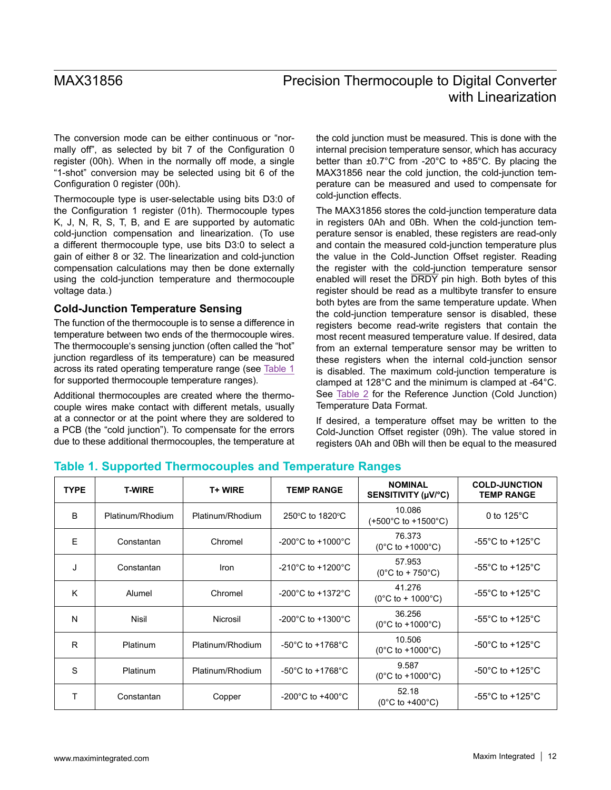The conversion mode can be either continuous or "normally off", as selected by bit 7 of the Configuration 0 register (00h). When in the normally off mode, a single "1-shot" conversion may be selected using bit 6 of the Configuration 0 register (00h).

Thermocouple type is user-selectable using bits D3:0 of the Configuration 1 register (01h). Thermocouple types K, J, N, R, S, T, B, and E are supported by automatic cold-junction compensation and linearization. (To use a different thermocouple type, use bits D3:0 to select a gain of either 8 or 32. The linearization and cold-junction compensation calculations may then be done externally using the cold-junction temperature and thermocouple voltage data.)

### <span id="page-11-1"></span>**Cold-Junction Temperature Sensing**

The function of the thermocouple is to sense a difference in temperature between two ends of the thermocouple wires. The thermocouple's sensing junction (often called the "hot" junction regardless of its temperature) can be measured across its rated operating temperature range (see [Table 1](#page-11-0) for supported thermocouple temperature ranges).

Additional thermocouples are created where the thermocouple wires make contact with different metals, usually at a connector or at the point where they are soldered to a PCB (the "cold junction"). To compensate for the errors due to these additional thermocouples, the temperature at the cold junction must be measured. This is done with the internal precision temperature sensor, which has accuracy better than ±0.7°C from -20°C to +85°C. By placing the MAX31856 near the cold junction, the cold-junction temperature can be measured and used to compensate for cold-junction effects.

The MAX31856 stores the cold-junction temperature data in registers 0Ah and 0Bh. When the cold-junction temperature sensor is enabled, these registers are read-only and contain the measured cold-junction temperature plus the value in the Cold-Junction Offset register. Reading the register with the cold-junction temperature sensor enabled will reset the DRDY pin high. Both bytes of this register should be read as a multibyte transfer to ensure both bytes are from the same temperature update. When the cold-junction temperature sensor is disabled, these registers become read-write registers that contain the most recent measured temperature value. If desired, data from an external temperature sensor may be written to these registers when the internal cold-junction sensor is disabled. The maximum cold-junction temperature is clamped at 128°C and the minimum is clamped at -64°C. See [Table 2](#page-12-0) for the Reference Junction (Cold Junction) Temperature Data Format.

If desired, a temperature offset may be written to the Cold-Junction Offset register (09h). The value stored in registers 0Ah and 0Bh will then be equal to the measured

| <b>TYPE</b> | <b>T-WIRE</b>    | <b>T+WIRE</b>    | <b>TEMP RANGE</b>                     | <b>NOMINAL</b><br>SENSITIVITY (µV/°C)               | <b>COLD-JUNCTION</b><br><b>TEMP RANGE</b> |
|-------------|------------------|------------------|---------------------------------------|-----------------------------------------------------|-------------------------------------------|
| B           | Platinum/Rhodium | Platinum/Rhodium | 250°C to 1820°C                       | 10.086<br>$(+500^{\circ}$ C to $+1500^{\circ}$ C)   | 0 to $125^{\circ}$ C                      |
| F           | Constantan       | Chromel          | $-200^{\circ}$ C to $+1000^{\circ}$ C | 76.373<br>$(0^{\circ}$ C to +1000 $^{\circ}$ C)     | -55 $^{\circ}$ C to +125 $^{\circ}$ C     |
| J           | Constantan       | Iron             | $-210^{\circ}$ C to $+1200^{\circ}$ C | 57.953<br>$(0^{\circ}C \text{ to } + 750^{\circ}C)$ | -55 $^{\circ}$ C to +125 $^{\circ}$ C     |
| K           | Alumel           | Chromel          | $-200^{\circ}$ C to $+1372^{\circ}$ C | 41.276<br>$(0^{\circ}$ C to + 1000 $^{\circ}$ C)    | -55 $^{\circ}$ C to +125 $^{\circ}$ C     |
| N           | Nisil            | Nicrosil         | $-200^{\circ}$ C to $+1300^{\circ}$ C | 36.256<br>$(0^{\circ}$ C to +1000 $^{\circ}$ C)     | -55 $^{\circ}$ C to +125 $^{\circ}$ C     |
| R           | <b>Platinum</b>  | Platinum/Rhodium | $-50^{\circ}$ C to $+1768^{\circ}$ C  | 10.506<br>$(0^{\circ}$ C to +1000 $^{\circ}$ C)     | -50 $^{\circ}$ C to +125 $^{\circ}$ C     |
| S           | <b>Platinum</b>  | Platinum/Rhodium | $-50^{\circ}$ C to $+1768^{\circ}$ C  | 9.587<br>$(0^{\circ}$ C to +1000 $^{\circ}$ C)      | -50 $^{\circ}$ C to +125 $^{\circ}$ C     |
| т           | Constantan       | Copper           | $-200^{\circ}$ C to $+400^{\circ}$ C  | 52.18<br>$(0^{\circ}$ C to +400 $^{\circ}$ C)       | -55 $^{\circ}$ C to +125 $^{\circ}$ C     |

# <span id="page-11-0"></span>**Table 1. Supported Thermocouples and Temperature Ranges**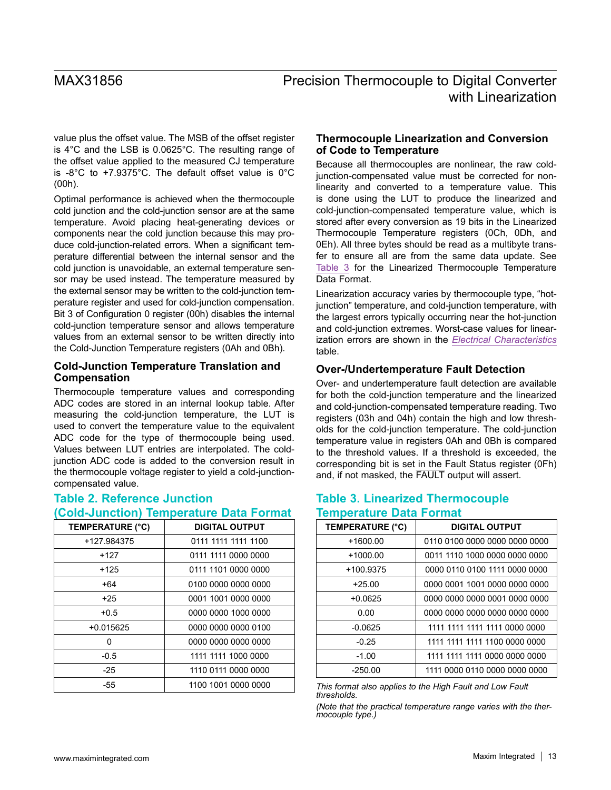value plus the offset value. The MSB of the offset register is 4°C and the LSB is 0.0625°C. The resulting range of the offset value applied to the measured CJ temperature is -8°C to +7.9375°C. The default offset value is 0°C (00h).

Optimal performance is achieved when the thermocouple cold junction and the cold-junction sensor are at the same temperature. Avoid placing heat-generating devices or components near the cold junction because this may produce cold-junction-related errors. When a significant temperature differential between the internal sensor and the cold junction is unavoidable, an external temperature sensor may be used instead. The temperature measured by the external sensor may be written to the cold-junction temperature register and used for cold-junction compensation. Bit 3 of Configuration 0 register (00h) disables the internal cold-junction temperature sensor and allows temperature values from an external sensor to be written directly into the Cold-Junction Temperature registers (0Ah and 0Bh).

### **Cold-Junction Temperature Translation and Compensation**

Thermocouple temperature values and corresponding ADC codes are stored in an internal lookup table. After measuring the cold-junction temperature, the LUT is used to convert the temperature value to the equivalent ADC code for the type of thermocouple being used. Values between LUT entries are interpolated. The coldjunction ADC code is added to the conversion result in the thermocouple voltage register to yield a cold-junctioncompensated value.

### <span id="page-12-0"></span>**Table 2. Reference Junction (Cold-Junction) Temperature Data Format**

| <b>TEMPERATURE (°C)</b> | <b>DIGITAL OUTPUT</b> |
|-------------------------|-----------------------|
| +127.984375             | 0111 1111 1111 1100   |
| +127                    | 0111 1111 0000 0000   |
| +125                    | 0111 1101 0000 0000   |
| $+64$                   | 0100 0000 0000 0000   |
| $+25$                   | 0001 1001 0000 0000   |
| $+0.5$                  | 0000 0000 1000 0000   |
| $+0.015625$             | 0000 0000 0000 0100   |
| O                       | 0000 0000 0000 0000   |
| $-0.5$                  | 1111 1111 1000 0000   |
| -25                     | 1110 0111 0000 0000   |
| -55                     | 1100 1001 0000 0000   |

### **Thermocouple Linearization and Conversion of Code to Temperature**

Because all thermocouples are nonlinear, the raw coldjunction-compensated value must be corrected for nonlinearity and converted to a temperature value. This is done using the LUT to produce the linearized and cold-junction-compensated temperature value, which is stored after every conversion as 19 bits in the Linearized Thermocouple Temperature registers (0Ch, 0Dh, and 0Eh). All three bytes should be read as a multibyte transfer to ensure all are from the same data update. See [Table 3](#page-12-1) for the Linearized Thermocouple Temperature Data Format.

Linearization accuracy varies by thermocouple type, "hotjunction" temperature, and cold-junction temperature, with the largest errors typically occurring near the hot-junction and cold-junction extremes. Worst-case values for linearization errors are shown in the *[Electrical Characteristics](#page-1-0)* table.

# **Over-/Undertemperature Fault Detection**

Over- and undertemperature fault detection are available for both the cold-junction temperature and the linearized and cold-junction-compensated temperature reading. Two registers (03h and 04h) contain the high and low thresholds for the cold-junction temperature. The cold-junction temperature value in registers 0Ah and 0Bh is compared to the threshold values. If a threshold is exceeded, the corresponding bit is set in the Fault Status register (0Fh) and, if not masked, the FAULT output will assert.

# <span id="page-12-1"></span>**Table 3. Linearized Thermocouple Temperature Data Format**

| TEMPERATURE (°C) | <b>DIGITAL OUTPUT</b>         |
|------------------|-------------------------------|
| $+1600.00$       | 0110 0100 0000 0000 0000 0000 |
| $+1000.00$       | 0011 1110 1000 0000 0000 0000 |
| +100.9375        | 0000 0110 0100 1111 0000 0000 |
| $+25.00$         | 0000 0001 1001 0000 0000 0000 |
| $+0.0625$        | 0000 0000 0000 0001 0000 0000 |
| 0.00             | 0000 0000 0000 0000 0000 0000 |
| $-0.0625$        | 1111 1111 1111 1111 0000 0000 |
| $-0.25$          | 1111 1111 1111 1100 0000 0000 |
| $-1.00$          | 1111 1111 1111 0000 0000 0000 |
| $-250.00$        | 1111 0000 0110 0000 0000 0000 |

*This format also applies to the High Fault and Low Fault thresholds.* 

*(Note that the practical temperature range varies with the ther- mocouple type.)*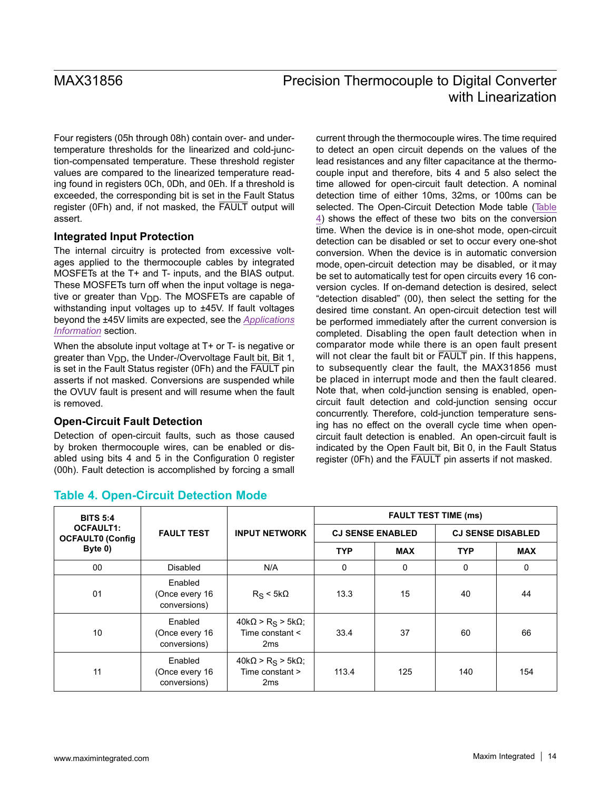Four registers (05h through 08h) contain over- and undertemperature thresholds for the linearized and cold-junction-compensated temperature. These threshold register values are compared to the linearized temperature reading found in registers 0Ch, 0Dh, and 0Eh. If a threshold is exceeded, the corresponding bit is set in the Fault Status register (0Fh) and, if not masked, the FAULT output will assert.

### **Integrated Input Protection**

The internal circuitry is protected from excessive voltages applied to the thermocouple cables by integrated MOSFETs at the T+ and T- inputs, and the BIAS output. These MOSFETs turn off when the input voltage is negative or greater than  $V_{DD}$ . The MOSFETs are capable of withstanding input voltages up to ±45V. If fault voltages beyond the ±45V limits are expected, see the *[Applications](#page-26-0) [Information](#page-26-0)* section.

When the absolute input voltage at T+ or T- is negative or greater than  $V_{DD}$ , the Under-/Overvoltage Fault bit, Bit 1, is set in the Fault Status register (0Fh) and the FAULT pin asserts if not masked. Conversions are suspended while the OVUV fault is present and will resume when the fault is removed.

### <span id="page-13-1"></span>**Open-Circuit Fault Detection**

Detection of open-circuit faults, such as those caused by broken thermocouple wires, can be enabled or disabled using bits 4 and 5 in the Configuration 0 register (00h). Fault detection is accomplished by forcing a small

current through the thermocouple wires. The time required to detect an open circuit depends on the values of the lead resistances and any filter capacitance at the thermocouple input and therefore, bits 4 and 5 also select the time allowed for open-circuit fault detection. A nominal detection time of either 10ms, 32ms, or 100ms can be selected. The Open-Circuit Detection Mode table [\(Table](#page-13-0) [4](#page-13-0)) shows the effect of these two bits on the conversion time. When the device is in one-shot mode, open-circuit detection can be disabled or set to occur every one-shot conversion. When the device is in automatic conversion mode, open-circuit detection may be disabled, or it may be set to automatically test for open circuits every 16 conversion cycles. If on-demand detection is desired, select "detection disabled" (00), then select the setting for the desired time constant. An open-circuit detection test will be performed immediately after the current conversion is completed. Disabling the open fault detection when in comparator mode while there is an open fault present will not clear the fault bit or FAULT pin. If this happens, to subsequently clear the fault, the MAX31856 must be placed in interrupt mode and then the fault cleared. Note that, when cold-junction sensing is enabled, opencircuit fault detection and cold-junction sensing occur concurrently. Therefore, cold-junction temperature sensing has no effect on the overall cycle time when opencircuit fault detection is enabled. An open-circuit fault is indicated by the Open Fault bit, Bit 0, in the Fault Status register (0Fh) and the FAULT pin asserts if not masked.

| <b>BITS 5:4</b>                                        |                                           |                                                                           | <b>FAULT TEST TIME (ms)</b> |            |                          |             |
|--------------------------------------------------------|-------------------------------------------|---------------------------------------------------------------------------|-----------------------------|------------|--------------------------|-------------|
| <b>OCFAULT1:</b><br><b>OCFAULT0 (Config</b><br>Byte 0) | <b>FAULT TEST</b>                         | <b>INPUT NETWORK</b>                                                      | <b>CJ SENSE ENABLED</b>     |            | <b>CJ SENSE DISABLED</b> |             |
|                                                        |                                           |                                                                           | <b>TYP</b>                  | <b>MAX</b> | <b>TYP</b>               | <b>MAX</b>  |
| 00                                                     | <b>Disabled</b>                           | N/A                                                                       | 0                           | 0          | 0                        | $\mathbf 0$ |
| 01                                                     | Enabled<br>(Once every 16<br>conversions) | $R_S < 5k\Omega$                                                          | 13.3                        | 15         | 40                       | 44          |
| 10                                                     | Enabled<br>(Once every 16<br>conversions) | $40k\Omega > R_S > 5k\Omega$ ;<br>Time constant $\leq$<br>2 <sub>ms</sub> | 33.4                        | 37         | 60                       | 66          |
| 11                                                     | Enabled<br>(Once every 16<br>conversions) | $40k\Omega > R_S > 5k\Omega$<br>Time constant ><br>2 <sub>ms</sub>        | 113.4                       | 125        | 140                      | 154         |

# <span id="page-13-0"></span>**Table 4. Open-Circuit Detection Mode**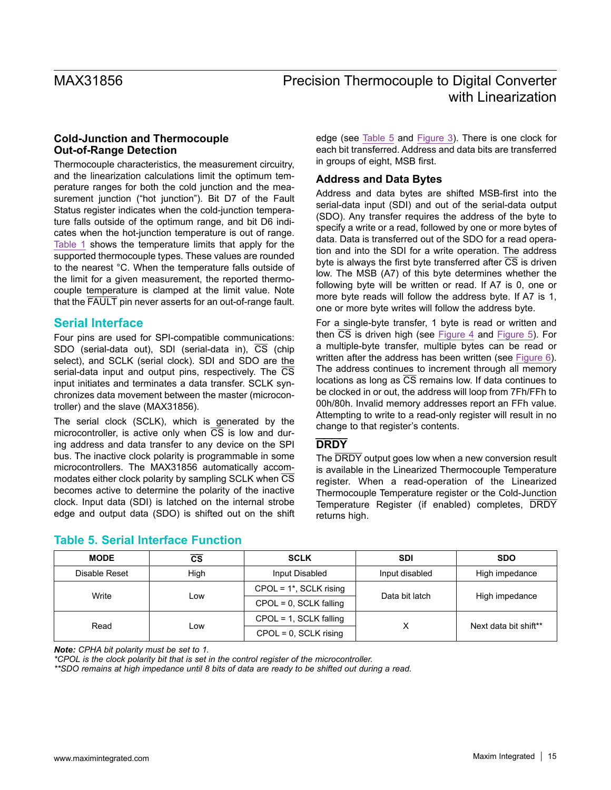### **Cold-Junction and Thermocouple Out-of-Range Detection**

Thermocouple characteristics, the measurement circuitry, and the linearization calculations limit the optimum temperature ranges for both the cold junction and the measurement junction ("hot junction"). Bit D7 of the Fault Status register indicates when the cold-junction temperature falls outside of the optimum range, and bit D6 indicates when the hot-junction temperature is out of range. [Table 1](#page-11-0) shows the temperature limits that apply for the supported thermocouple types. These values are rounded to the nearest °C. When the temperature falls outside of the limit for a given measurement, the reported thermocouple temperature is clamped at the limit value. Note that the FAULT pin never asserts for an out-of-range fault.

# **Serial Interface**

Four pins are used for SPI-compatible communications: SDO (serial-data out), SDI (serial-data in), CS (chip select), and SCLK (serial clock). SDI and SDO are the serial-data input and output pins, respectively. The  $\overline{\text{CS}}$ input initiates and terminates a data transfer. SCLK synchronizes data movement between the master (microcontroller) and the slave (MAX31856).

The serial clock (SCLK), which is generated by the microcontroller, is active only when  $\overline{CS}$  is low and during address and data transfer to any device on the SPI bus. The inactive clock polarity is programmable in some microcontrollers. The MAX31856 automatically accommodates either clock polarity by sampling SCLK when CS becomes active to determine the polarity of the inactive clock. Input data (SDI) is latched on the internal strobe edge and output data (SDO) is shifted out on the shift edge (see [Table 5](#page-14-0) and [Figure 3](#page-15-0)). There is one clock for each bit transferred. Address and data bits are transferred in groups of eight, MSB first.

### **Address and Data Bytes**

Address and data bytes are shifted MSB-first into the serial-data input (SDI) and out of the serial-data output (SDO). Any transfer requires the address of the byte to specify a write or a read, followed by one or more bytes of data. Data is transferred out of the SDO for a read operation and into the SDI for a write operation. The address byte is always the first byte transferred after  $\overline{CS}$  is driven low. The MSB (A7) of this byte determines whether the following byte will be written or read. If A7 is 0, one or more byte reads will follow the address byte. If A7 is 1, one or more byte writes will follow the address byte.

For a single-byte transfer, 1 byte is read or written and then  $\overline{CS}$  is driven high (see [Figure 4](#page-15-1) and [Figure 5](#page-15-2)). For a multiple-byte transfer, multiple bytes can be read or written after the address has been written (see [Figure 6](#page-16-0)). The address continues to increment through all memory locations as long as  $\overline{CS}$  remains low. If data continues to be clocked in or out, the address will loop from 7Fh/FFh to 00h/80h. Invalid memory addresses report an FFh value. Attempting to write to a read-only register will result in no change to that register's contents.

# **DRDY**

The  $\overline{DRDY}$  output goes low when a new conversion result is available in the Linearized Thermocouple Temperature register. When a read-operation of the Linearized Thermocouple Temperature register or the Cold-Junction Temperature Register (if enabled) completes, DRDY returns high.

| <b>MODE</b>   | $\overline{\text{cs}}$ | <b>SCLK</b>               | <b>SDI</b>     | <b>SDO</b>                              |  |
|---------------|------------------------|---------------------------|----------------|-----------------------------------------|--|
| Disable Reset | High                   | Input Disabled            | Input disabled | High impedance                          |  |
| Write         |                        | $CPOL = 1*$ , SCLK rising | Data bit latch | High impedance<br>Next data bit shift** |  |
|               | Low                    | $CPOL = 0$ , SCLK falling |                |                                         |  |
| Read          |                        | $CPOL = 1$ , SCLK falling |                |                                         |  |
|               | LOW.                   | $CPOL = 0$ , SCLK rising  | х              |                                         |  |

# <span id="page-14-0"></span>**Table 5. Serial Interface Function**

*Note: CPHA bit polarity must be set to 1.*

*\*CPOL is the clock polarity bit that is set in the control register of the microcontroller.*

*\*\*SDO remains at high impedance until 8 bits of data are ready to be shifted out during a read.*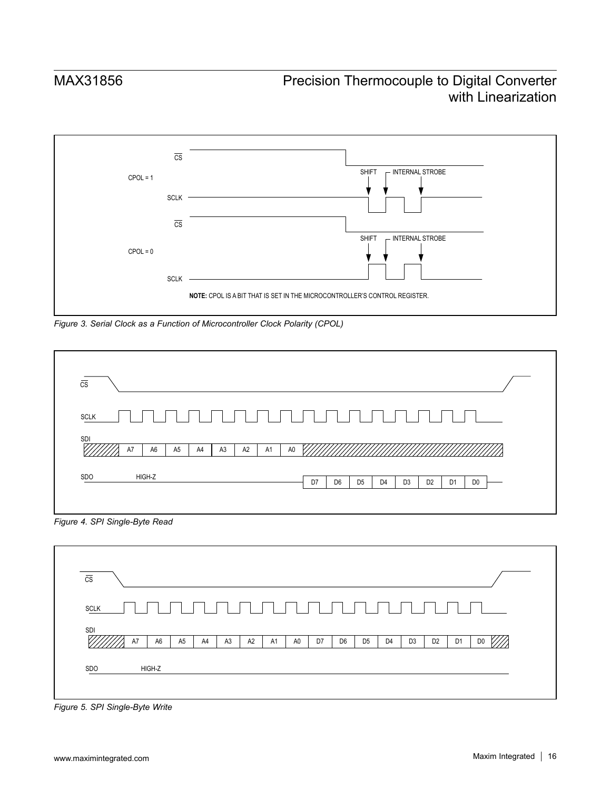<span id="page-15-0"></span>

*Figure 3. Serial Clock as a Function of Microcontroller Clock Polarity (CPOL)*

<span id="page-15-1"></span>

| <b>SCLK</b><br><b>SDI</b><br>A6<br>A7<br>A <sub>5</sub><br>A4<br>A2<br>A <sub>3</sub><br>A1<br>A0<br>HIGH-Z<br>SDO<br>D7<br>D <sub>6</sub><br>D <sub>5</sub><br>D <sub>3</sub><br>D <sub>2</sub><br>D <sub>4</sub><br>D <sub>0</sub><br>D1 | $\overline{\text{CS}}$ |  |
|--------------------------------------------------------------------------------------------------------------------------------------------------------------------------------------------------------------------------------------------|------------------------|--|
|                                                                                                                                                                                                                                            |                        |  |
|                                                                                                                                                                                                                                            |                        |  |
|                                                                                                                                                                                                                                            |                        |  |

*Figure 4. SPI Single-Byte Read*

<span id="page-15-2"></span>

*Figure 5. SPI Single-Byte Write*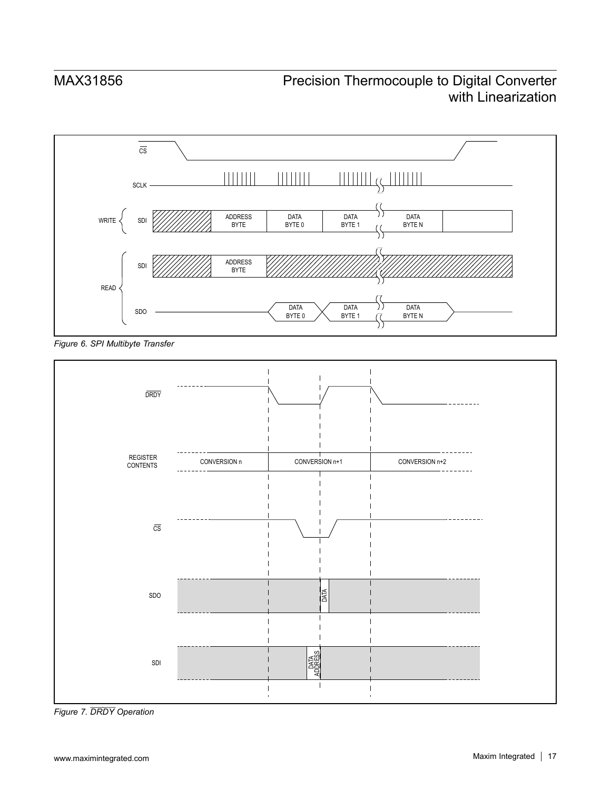<span id="page-16-0"></span>

*Figure 6. SPI Multibyte Transfer*



*Figure 7. DRDY Operation*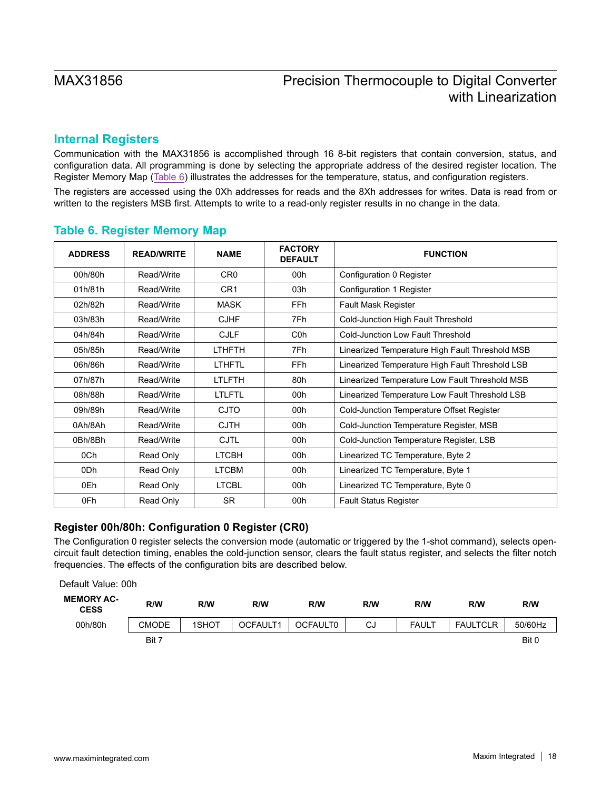# **Internal Registers**

Communication with the MAX31856 is accomplished through 16 8-bit registers that contain conversion, status, and configuration data. All programming is done by selecting the appropriate address of the desired register location. The Register Memory Map [\(Table 6\)](#page-17-0) illustrates the addresses for the temperature, status, and configuration registers.

The registers are accessed using the 0Xh addresses for reads and the 8Xh addresses for writes. Data is read from or written to the registers MSB first. Attempts to write to a read-only register results in no change in the data.

| <b>ADDRESS</b> | <b>READ/WRITE</b> | <b>NAME</b>     | <b>FACTORY</b><br><b>DEFAULT</b> | <b>FUNCTION</b>                                 |
|----------------|-------------------|-----------------|----------------------------------|-------------------------------------------------|
| 00h/80h        | Read/Write        | CR <sub>0</sub> | 00h                              | Configuration 0 Register                        |
| 01h/81h        | Read/Write        | CR <sub>1</sub> | 03h                              | Configuration 1 Register                        |
| 02h/82h        | Read/Write        | <b>MASK</b>     | FF <sub>h</sub>                  | <b>Fault Mask Register</b>                      |
| 03h/83h        | Read/Write        | <b>CJHF</b>     | 7Fh                              | Cold-Junction High Fault Threshold              |
| 04h/84h        | Read/Write        | <b>CJLF</b>     | C <sub>0</sub> h                 | <b>Cold-Junction Low Fault Threshold</b>        |
| 05h/85h        | Read/Write        | <b>LTHFTH</b>   | 7Fh                              | Linearized Temperature High Fault Threshold MSB |
| 06h/86h        | Read/Write        | LTHFTL          | FFh.                             | Linearized Temperature High Fault Threshold LSB |
| 07h/87h        | Read/Write        | <b>LTLFTH</b>   | 80h                              | Linearized Temperature Low Fault Threshold MSB  |
| 08h/88h        | Read/Write        | <b>LTLFTL</b>   | 00h                              | Linearized Temperature Low Fault Threshold LSB  |
| 09h/89h        | Read/Write        | <b>CJTO</b>     | 00h                              | Cold-Junction Temperature Offset Register       |
| 0Ah/8Ah        | Read/Write        | <b>CJTH</b>     | 00h                              | Cold-Junction Temperature Register, MSB         |
| 0Bh/8Bh        | Read/Write        | <b>CJTL</b>     | 00h                              | Cold-Junction Temperature Register, LSB         |
| 0Ch            | Read Only         | <b>LTCBH</b>    | 00h                              | Linearized TC Temperature, Byte 2               |
| 0Dh            | Read Only         | <b>LTCBM</b>    | 00h                              | Linearized TC Temperature, Byte 1               |
| 0Eh            | Read Only         | <b>LTCBL</b>    | 00h                              | Linearized TC Temperature, Byte 0               |
| 0Fh            | Read Only         | <b>SR</b>       | 00h                              | <b>Fault Status Register</b>                    |

### <span id="page-17-0"></span>**Table 6. Register Memory Map**

# **Register 00h/80h: Configuration 0 Register (CR0)**

The Configuration 0 register selects the conversion mode (automatic or triggered by the 1-shot command), selects opencircuit fault detection timing, enables the cold-junction sensor, clears the fault status register, and selects the filter notch frequencies. The effects of the configuration bits are described below.

| Default Value: 00h               |              |       |          |                 |     |              |                 |         |
|----------------------------------|--------------|-------|----------|-----------------|-----|--------------|-----------------|---------|
| <b>MEMORY AC-</b><br><b>CESS</b> | R/W          | R/W   | R/W      | R/W             | R/W | R/W          | R/W             | R/W     |
| 00h/80h                          | <b>CMODE</b> | 1SHOT | OCFAULT1 | <b>OCFAULT0</b> | CJ  | <b>FAULT</b> | <b>FAULTCLR</b> | 50/60Hz |
|                                  | Bit 7        |       |          |                 |     |              |                 | Bit 0   |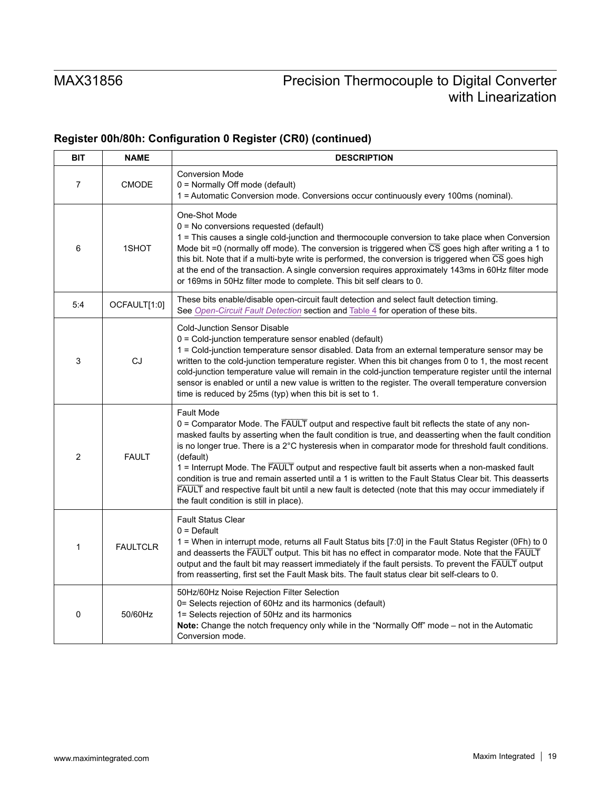# **Register 00h/80h: Configuration 0 Register (CR0) (continued)**

| <b>BIT</b>     | <b>NAME</b>     | <b>DESCRIPTION</b>                                                                                                                                                                                                                                                                                                                                                                                                                                                                                                                                                                                                                                                                                                |
|----------------|-----------------|-------------------------------------------------------------------------------------------------------------------------------------------------------------------------------------------------------------------------------------------------------------------------------------------------------------------------------------------------------------------------------------------------------------------------------------------------------------------------------------------------------------------------------------------------------------------------------------------------------------------------------------------------------------------------------------------------------------------|
| $\overline{7}$ | <b>CMODE</b>    | <b>Conversion Mode</b><br>0 = Normally Off mode (default)<br>1 = Automatic Conversion mode. Conversions occur continuously every 100ms (nominal).                                                                                                                                                                                                                                                                                                                                                                                                                                                                                                                                                                 |
| 6              | 1SHOT           | One-Shot Mode<br>$0 = No$ conversions requested (default)<br>1 = This causes a single cold-junction and thermocouple conversion to take place when Conversion<br>Mode bit =0 (normally off mode). The conversion is triggered when $\overline{CS}$ goes high after writing a 1 to<br>this bit. Note that if a multi-byte write is performed, the conversion is triggered when CS goes high<br>at the end of the transaction. A single conversion requires approximately 143ms in 60Hz filter mode<br>or 169ms in 50Hz filter mode to complete. This bit self clears to 0.                                                                                                                                         |
| 5:4            | OCFAULT[1:0]    | These bits enable/disable open-circuit fault detection and select fault detection timing.<br>See Open-Circuit Fault Detection section and Table 4 for operation of these bits.                                                                                                                                                                                                                                                                                                                                                                                                                                                                                                                                    |
| 3              | CJ              | <b>Cold-Junction Sensor Disable</b><br>0 = Cold-junction temperature sensor enabled (default)<br>1 = Cold-junction temperature sensor disabled. Data from an external temperature sensor may be<br>written to the cold-junction temperature register. When this bit changes from 0 to 1, the most recent<br>cold-junction temperature value will remain in the cold-junction temperature register until the internal<br>sensor is enabled or until a new value is written to the register. The overall temperature conversion<br>time is reduced by 25ms (typ) when this bit is set to 1.                                                                                                                         |
| $\overline{2}$ | <b>FAULT</b>    | <b>Fault Mode</b><br>0 = Comparator Mode. The FAULT output and respective fault bit reflects the state of any non-<br>masked faults by asserting when the fault condition is true, and deasserting when the fault condition<br>is no longer true. There is a 2°C hysteresis when in comparator mode for threshold fault conditions.<br>(default)<br>1 = Interrupt Mode. The FAULT output and respective fault bit asserts when a non-masked fault<br>condition is true and remain asserted until a 1 is written to the Fault Status Clear bit. This deasserts<br>FAULT and respective fault bit until a new fault is detected (note that this may occur immediately if<br>the fault condition is still in place). |
| 1              | <b>FAULTCLR</b> | <b>Fault Status Clear</b><br>$0 =$ Default<br>1 = When in interrupt mode, returns all Fault Status bits [7:0] in the Fault Status Register (0Fh) to 0<br>and deasserts the FAULT output. This bit has no effect in comparator mode. Note that the FAULT<br>output and the fault bit may reassert immediately if the fault persists. To prevent the FAULT output<br>from reasserting, first set the Fault Mask bits. The fault status clear bit self-clears to 0.                                                                                                                                                                                                                                                  |
| $\mathbf 0$    | 50/60Hz         | 50Hz/60Hz Noise Rejection Filter Selection<br>0= Selects rejection of 60Hz and its harmonics (default)<br>1= Selects rejection of 50Hz and its harmonics<br>Note: Change the notch frequency only while in the "Normally Off" mode - not in the Automatic<br>Conversion mode.                                                                                                                                                                                                                                                                                                                                                                                                                                     |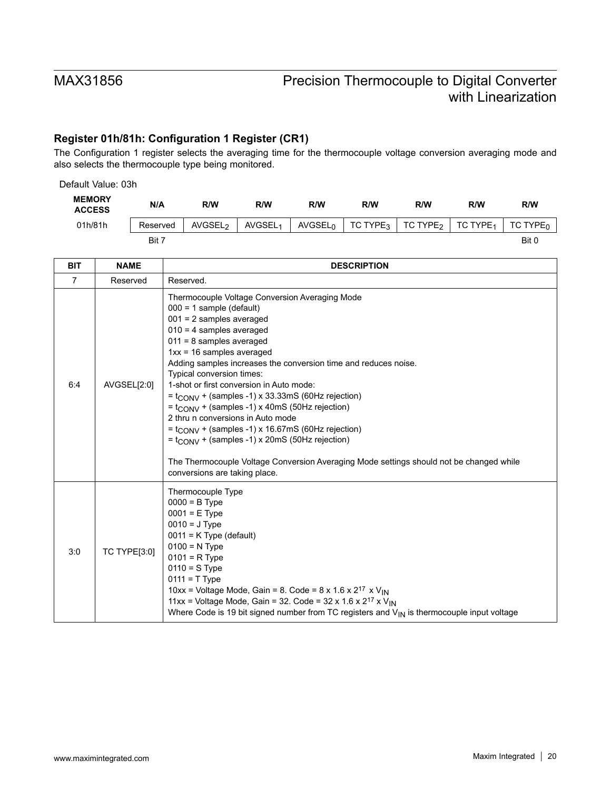# **Register 01h/81h: Configuration 1 Register (CR1)**

The Configuration 1 register selects the averaging time for the thermocouple voltage conversion averaging mode and also selects the thermocouple type being monitored.

| Default Value: 03h             |          |                     |                     |                            |                      |                      |                      |                      |
|--------------------------------|----------|---------------------|---------------------|----------------------------|----------------------|----------------------|----------------------|----------------------|
| <b>MEMORY</b><br><b>ACCESS</b> | N/A      | R/W                 | R/W                 | <b>R/W</b>                 | R/W                  | R/W                  | R/W                  | R/W                  |
| 01h/81h                        | Reserved | AVGSEL <sub>2</sub> | AVGSEL <sub>1</sub> | <b>AVGSEL</b> <sub>0</sub> | TC TYPE <sub>3</sub> | TC TYPE <sub>2</sub> | TC TYPE <sub>1</sub> | TC TYPE <sub>0</sub> |
|                                | Bit 7    |                     |                     |                            |                      |                      |                      | Bit 0                |

| <b>BIT</b>     | <b>NAME</b>         | <b>DESCRIPTION</b>                                                                                                                                                                                                                                                                                                                                                                                                                                                                                                                                                                                                                                                                                                                                                                       |
|----------------|---------------------|------------------------------------------------------------------------------------------------------------------------------------------------------------------------------------------------------------------------------------------------------------------------------------------------------------------------------------------------------------------------------------------------------------------------------------------------------------------------------------------------------------------------------------------------------------------------------------------------------------------------------------------------------------------------------------------------------------------------------------------------------------------------------------------|
| $\overline{7}$ | Reserved            | Reserved.                                                                                                                                                                                                                                                                                                                                                                                                                                                                                                                                                                                                                                                                                                                                                                                |
| 6:4            | AVGSEL[2:0]         | Thermocouple Voltage Conversion Averaging Mode<br>$000 = 1$ sample (default)<br>$001 = 2$ samples averaged<br>$010 = 4$ samples averaged<br>$011 = 8$ samples averaged<br>$1xx = 16$ samples averaged<br>Adding samples increases the conversion time and reduces noise.<br>Typical conversion times:<br>1-shot or first conversion in Auto mode:<br>$=$ t <sub>CONV</sub> + (samples -1) x 33.33mS (60Hz rejection)<br>$=$ t <sub>CONV</sub> + (samples -1) x 40mS (50Hz rejection)<br>2 thru n conversions in Auto mode<br>$=$ t <sub>CONV</sub> + (samples -1) x 16.67mS (60Hz rejection)<br>$=$ t <sub>CONV</sub> + (samples -1) x 20mS (50Hz rejection)<br>The Thermocouple Voltage Conversion Averaging Mode settings should not be changed while<br>conversions are taking place. |
| 3:0            | <b>TC TYPE[3:0]</b> | Thermocouple Type<br>$0000 = B$ Type<br>$0001 = E$ Type<br>$0010 = J$ Type<br>$0011 = K$ Type (default)<br>$0100 = N$ Type<br>$0101 = R$ Type<br>$0110 = S$ Type<br>$0111 = T$ Type<br>10xx = Voltage Mode, Gain = 8. Code = $8 \times 1.6 \times 2^{17} \times V_{IN}$<br>11xx = Voltage Mode, Gain = 32. Code = 32 x 1.6 x $2^{17}$ x V <sub>IN</sub><br>Where Code is 19 bit signed number from TC registers and $V_{\vert N}$ is thermocouple input voltage                                                                                                                                                                                                                                                                                                                          |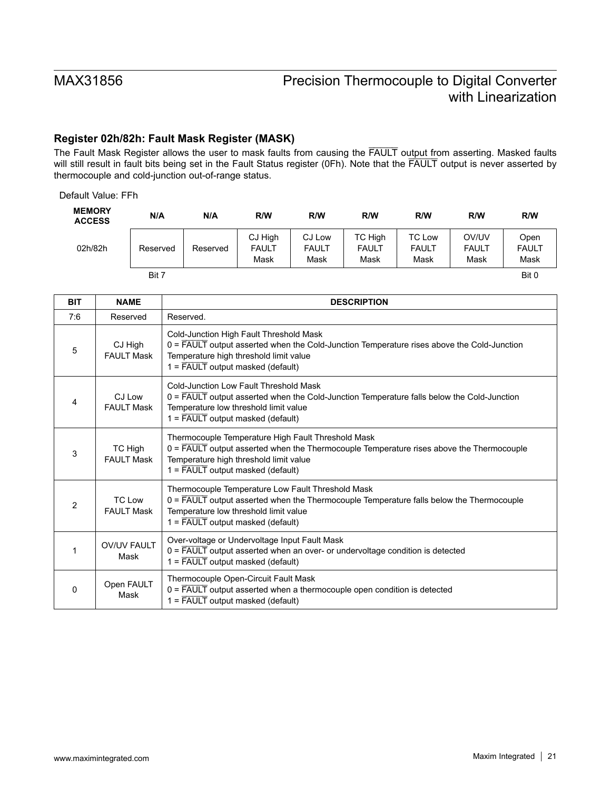# **Register 02h/82h: Fault Mask Register (MASK)**

The Fault Mask Register allows the user to mask faults from causing the FAULT output from asserting. Masked faults will still result in fault bits being set in the Fault Status register (0Fh). Note that the FAULT output is never asserted by thermocouple and cold-junction out-of-range status.

Default Value: FFh

| <b>MEMORY</b><br><b>ACCESS</b> | N/A      | N/A      | R/W                             | R/W                            | R/W                             | R/W                                   | R/W                           | R/W                          |
|--------------------------------|----------|----------|---------------------------------|--------------------------------|---------------------------------|---------------------------------------|-------------------------------|------------------------------|
| 02h/82h                        | Reserved | Reserved | CJ High<br><b>FAULT</b><br>Mask | CJ Low<br><b>FAULT</b><br>Mask | TC High<br><b>FAULT</b><br>Mask | <b>TC Low</b><br><b>FAULT</b><br>Mask | OV/UV<br><b>FAULT</b><br>Mask | Open<br><b>FAULT</b><br>Mask |
|                                | Bit 7    |          |                                 |                                |                                 |                                       |                               | Bit 0                        |

| <b>BIT</b>     | <b>NAME</b>                        | <b>DESCRIPTION</b>                                                                                                                                                                                                                                      |
|----------------|------------------------------------|---------------------------------------------------------------------------------------------------------------------------------------------------------------------------------------------------------------------------------------------------------|
| 7:6            | Reserved                           | Reserved.                                                                                                                                                                                                                                               |
| 5              | CJ High<br><b>FAULT Mask</b>       | Cold-Junction High Fault Threshold Mask<br>$0 =$ FAULT output asserted when the Cold-Junction Temperature rises above the Cold-Junction<br>Temperature high threshold limit value<br>$1 = \overline{FAULT}$ output masked (default)                     |
| 4              | CJ Low<br><b>FAULT Mask</b>        | Cold-Junction Low Fault Threshold Mask<br>$0 = \overline{FAULT}$ output asserted when the Cold-Junction Temperature falls below the Cold-Junction<br>Temperature low threshold limit value<br>$1 = \overline{FAULT}$ output masked (default)            |
| 3              | TC High<br><b>FAULT Mask</b>       | Thermocouple Temperature High Fault Threshold Mask<br>$0 = \overline{FAULT}$ output asserted when the Thermocouple Temperature rises above the Thermocouple<br>Temperature high threshold limit value<br>$1 = \overline{FAULT}$ output masked (default) |
| $\overline{2}$ | <b>TC Low</b><br><b>FAULT Mask</b> | Thermocouple Temperature Low Fault Threshold Mask<br>$0 = \overline{FAULT}$ output asserted when the Thermocouple Temperature falls below the Thermocouple<br>Temperature low threshold limit value<br>$1 = \overline{FAULT}$ output masked (default)   |
| 1              | <b>OV/UV FAULT</b><br>Mask         | Over-voltage or Undervoltage Input Fault Mask<br>0 = FAULT output asserted when an over- or undervoltage condition is detected<br>$1 = \overline{FAULT}$ output masked (default)                                                                        |
| 0              | Open FAULT<br>Mask                 | Thermocouple Open-Circuit Fault Mask<br>0 = FAULT output asserted when a thermocouple open condition is detected<br>$1 = \overline{FAULT}$ output masked (default)                                                                                      |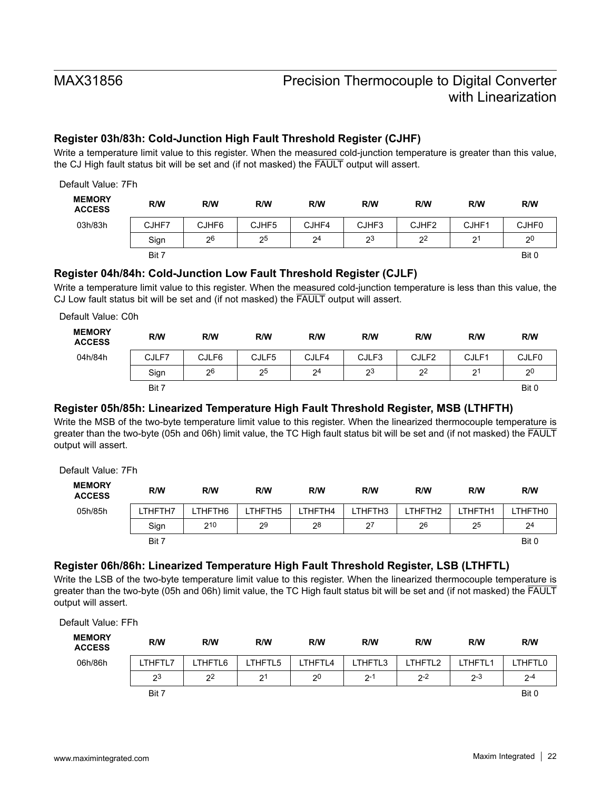# **Register 03h/83h: Cold-Junction High Fault Threshold Register (CJHF)**

Write a temperature limit value to this register. When the measured cold-junction temperature is greater than this value, the CJ High fault status bit will be set and (if not masked) the FAULT output will assert.

| Default Value: 7Fh             |       |       |       |                |       |                   |                |              |
|--------------------------------|-------|-------|-------|----------------|-------|-------------------|----------------|--------------|
| <b>MEMORY</b><br><b>ACCESS</b> | R/W   | R/W   | R/W   | R/W            | R/W   | R/W               | R/W            | R/W          |
| 03h/83h                        | CJHF7 | CJHF6 | CJHF5 | CJHF4          | CJHF3 | CJHF <sub>2</sub> | CJHF1          | <b>CJHF0</b> |
|                                | Sign  | 26    | 25    | 2 <sup>4</sup> | 23    | 2 <sup>2</sup>    | 2 <sup>1</sup> | 20           |
|                                | Bit 7 |       |       |                |       |                   |                | Bit 0        |

### **Register 04h/84h: Cold-Junction Low Fault Threshold Register (CJLF)**

Write a temperature limit value to this register. When the measured cold-junction temperature is less than this value, the CJ Low fault status bit will be set and (if not masked) the FAULT output will assert.

Default Value: C0h **MEMORY ACCESS R/W R/W R/W R/W R/W R/W R/W R/W** 04h/84h | CJLF7 | CJLF6 | CJLF5 | CJLF4 | CJLF3 | CJLF2 | CJLF1 | CJLF0 Sign | 2<sup>6</sup> | 2<sup>5</sup> | 2<sup>4</sup> | 2<sup>3</sup> | 2<sup>2</sup> | 2<sup>1</sup> | 2<sup>0</sup> Bit 7 Bit 0 Bit 0 Bit 0 Bit 0 Bit 0 Bit 0 Bit 0 Bit 0 Bit 0 Bit 0 Bit 0 Bit 0 Bit 0 Bit 0 Bit 0 Bit 0 Bit 0 Bi

### **Register 05h/85h: Linearized Temperature High Fault Threshold Register, MSB (LTHFTH)**

Write the MSB of the two-byte temperature limit value to this register. When the linearized thermocouple temperature is greater than the two-byte (05h and 06h) limit value, the TC High fault status bit will be set and (if not masked) the FAULT output will assert.

Default Value: 7Fh

| <b>MEMORY</b><br><b>ACCESS</b> | R/W            | R/W     | R/W     | R/W     | R/W     | R/W     | R/W     | R/W            |
|--------------------------------|----------------|---------|---------|---------|---------|---------|---------|----------------|
| 05h/85h                        | <b>LTHFTH7</b> | LTHFTH6 | LTHFTH5 | LTHFTH4 | LTHFTH3 | LTHFTH2 | LTHFTH1 | LTHFTH0        |
|                                | Sign           | 210     | 29      | 28      | 27      | 26      | 25      | 2 <sup>4</sup> |
|                                | Bit 7          |         |         |         |         |         |         | Bit 0          |

# **Register 06h/86h: Linearized Temperature High Fault Threshold Register, LSB (LTHFTL)**

Write the LSB of the two-byte temperature limit value to this register. When the linearized thermocouple temperature is greater than the two-byte (05h and 06h) limit value, the TC High fault status bit will be set and (if not masked) the FAULT output will assert.

Default Value: FFh

| <b>MEMORY</b><br><b>ACCESS</b> | R/W            | R/W            | R/W            | R/W            | R/W     | R/W     | R/W     | R/W     |
|--------------------------------|----------------|----------------|----------------|----------------|---------|---------|---------|---------|
| 06h/86h                        | LTHFTL7        | THFTL6         | THFTL5         | THFTL4         | LTHFTL3 | LTHFTL2 | LTHFTL1 | LTHFTL0 |
|                                | 2 <sup>3</sup> | 2 <sup>2</sup> | 2 <sup>1</sup> | 2 <sup>0</sup> | $2 - 1$ | $2 - 2$ | $2 - 3$ | $2 - 4$ |
|                                | Bit 7          |                |                |                |         |         |         | Bit 0   |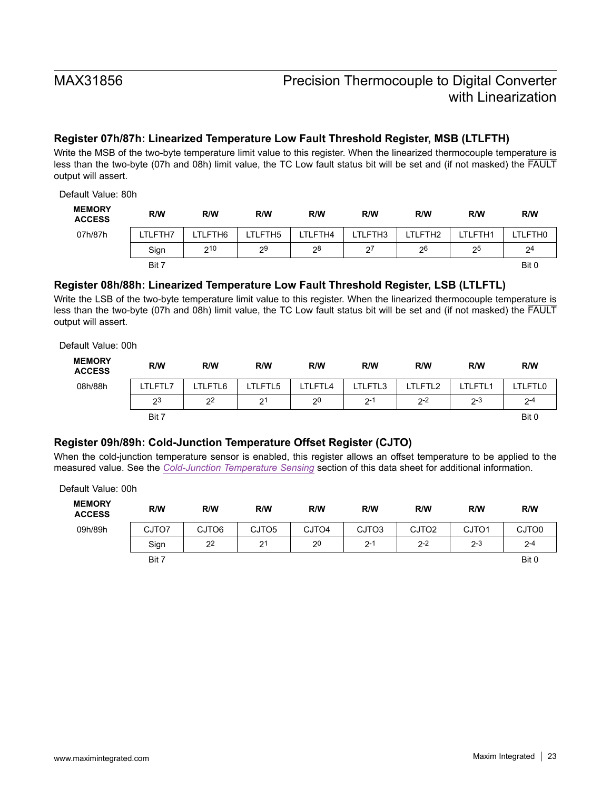# **Register 07h/87h: Linearized Temperature Low Fault Threshold Register, MSB (LTLFTH)**

Write the MSB of the two-byte temperature limit value to this register. When the linearized thermocouple temperature is less than the two-byte (07h and 08h) limit value, the TC Low fault status bit will be set and (if not masked) the FAULT output will assert.

Default Value: 80h

| <b>MEMORY</b><br><b>ACCESS</b> | R/W     | R/W     | R/W     | R/W     | R/W     | R/W     | R/W     | R/W            |
|--------------------------------|---------|---------|---------|---------|---------|---------|---------|----------------|
| 07h/87h                        | LTLFTH7 | LTLFTH6 | LTLFTH5 | LTLFTH4 | LTLFTH3 | LTLFTH2 | LTLFTH1 | LTLFTH0        |
|                                | Sign    | 210     | 29      | 28      | 27      | 26      | 25      | 2 <sup>4</sup> |
|                                | Bit 7   |         |         |         |         |         |         | Bit 0          |

### **Register 08h/88h: Linearized Temperature Low Fault Threshold Register, LSB (LTLFTL)**

Write the LSB of the two-byte temperature limit value to this register. When the linearized thermocouple temperature is less than the two-byte (07h and 08h) limit value, the TC Low fault status bit will be set and (if not masked) the FAULT output will assert.

Default Value: 00h

| <b>MEMORY</b><br><b>ACCESS</b> | R/W     | R/W     | R/W            | R/W            | R/W     | R/W     | R/W     | R/W     |
|--------------------------------|---------|---------|----------------|----------------|---------|---------|---------|---------|
| 08h/88h                        | LTLFTL7 | LTLFTL6 | LTLFTL5        | LTLFTL4        | LTLFTL3 | LTLFTL2 | LTLFTL1 | TLFTL0- |
|                                | 23      | 22      | 2 <sup>1</sup> | 2 <sup>0</sup> | $2 -$   | $2 - 2$ | $2 - 3$ | $2 - 4$ |
|                                | Bit 7   |         |                |                |         |         |         | Bit 0   |

# **Register 09h/89h: Cold-Junction Temperature Offset Register (CJTO)**

When the cold-junction temperature sensor is enabled, this register allows an offset temperature to be applied to the measured value. See the *[Cold-Junction Temperature Sensing](#page-11-1)* section of this data sheet for additional information.

Default Value: 00h

| <b>MEMORY</b><br><b>ACCESS</b> | R/W   | R/W            | R/W               | R/W     | R/W     | R/W               | R/W               | R/W     |
|--------------------------------|-------|----------------|-------------------|---------|---------|-------------------|-------------------|---------|
| 09h/89h                        | CJTO7 | CJTO6          | CJTO <sub>5</sub> | CJTO4   | CJTO3   | CJTO <sub>2</sub> | CJTO <sub>1</sub> | CJTO0   |
|                                | Sign  | 2 <sup>2</sup> | 2 <sup>1</sup>    | $2^{0}$ | $2 - 1$ | $2 - 2$           | $2 - 3$           | $2 - 4$ |
|                                | Bit 7 |                |                   |         |         |                   |                   | Bit 0   |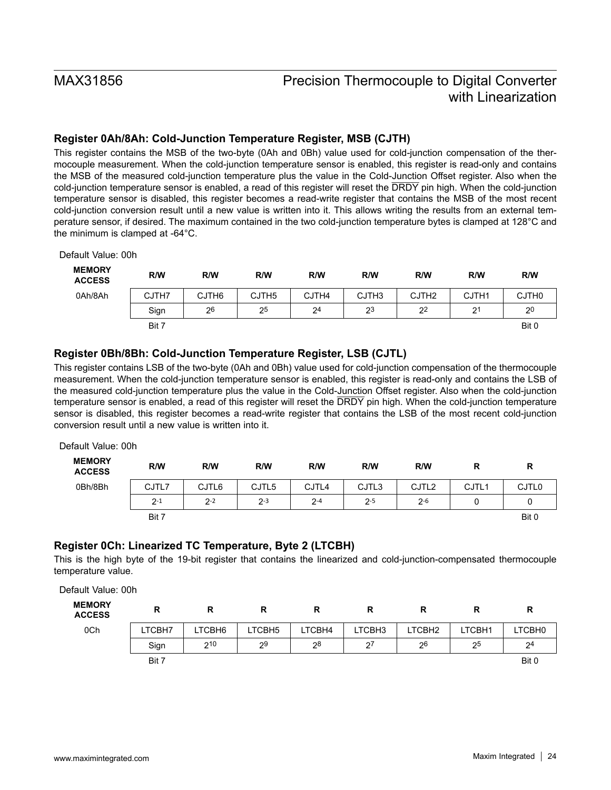# **Register 0Ah/8Ah: Cold-Junction Temperature Register, MSB (CJTH)**

This register contains the MSB of the two-byte (0Ah and 0Bh) value used for cold-junction compensation of the thermocouple measurement. When the cold-junction temperature sensor is enabled, this register is read-only and contains the MSB of the measured cold-junction temperature plus the value in the Cold-Junction Offset register. Also when the cold-junction temperature sensor is enabled, a read of this register will reset the DRDY pin high. When the cold-junction temperature sensor is disabled, this register becomes a read-write register that contains the MSB of the most recent cold-junction conversion result until a new value is written into it. This allows writing the results from an external temperature sensor, if desired. The maximum contained in the two cold-junction temperature bytes is clamped at 128°C and the minimum is clamped at -64°C.

Default Value: 00h

| <b>MEMORY</b><br><b>ACCESS</b> | R/W   | R/W   | R/W               | R/W            | R/W               | R/W               | R/W          | R/W               |
|--------------------------------|-------|-------|-------------------|----------------|-------------------|-------------------|--------------|-------------------|
| 0Ah/8Ah                        | CJTH7 | CJTH6 | CJTH <sub>5</sub> | CJTH4          | CJTH <sub>3</sub> | CJTH <sub>2</sub> | CJTH1        | CJTH <sub>0</sub> |
|                                | Sign  | 26    | 25                | 2 <sup>4</sup> | 23                | 2 <sup>2</sup>    | $2^{\prime}$ | 2 <sup>0</sup>    |
|                                | Bit 7 |       |                   |                |                   |                   |              | Bit 0             |

### **Register 0Bh/8Bh: Cold-Junction Temperature Register, LSB (CJTL)**

This register contains LSB of the two-byte (0Ah and 0Bh) value used for cold-junction compensation of the thermocouple measurement. When the cold-junction temperature sensor is enabled, this register is read-only and contains the LSB of the measured cold-junction temperature plus the value in the Cold-Junction Offset register. Also when the cold-junction temperature sensor is enabled, a read of this register will reset the DRDY pin high. When the cold-junction temperature sensor is disabled, this register becomes a read-write register that contains the LSB of the most recent cold-junction conversion result until a new value is written into it.

| Default Value: 00h             |         |         |         |         |         |                   |                   |              |  |
|--------------------------------|---------|---------|---------|---------|---------|-------------------|-------------------|--------------|--|
| <b>MEMORY</b><br><b>ACCESS</b> | R/W     | R/W     | R/W     | R/W     | R/W     | R/W               | R                 | R            |  |
| 0Bh/8Bh                        | CJTL7   | CJTL6   | CJTL5   | CJTL4   | CJTL3   | CJTL <sub>2</sub> | CJTL <sub>1</sub> | <b>CJTL0</b> |  |
|                                | $2 - 1$ | $2 - 2$ | $2 - 3$ | $2 - 4$ | $2 - 5$ | $2 - 6$           |                   | 0            |  |
|                                | Bit 7   |         |         |         |         |                   |                   | Bit 0        |  |

# **Register 0Ch: Linearized TC Temperature, Byte 2 (LTCBH)**

This is the high byte of the 19-bit register that contains the linearized and cold-junction-compensated thermocouple temperature value.

Default Value: 00h

| <b>MEMORY</b><br><b>ACCESS</b> | R      |        | R      |        | ĸ              | ĸ      | R      | R              |
|--------------------------------|--------|--------|--------|--------|----------------|--------|--------|----------------|
| 0Ch                            | LTCBH7 | LTCBH6 | LTCBH5 | LTCBH4 | LTCBH3         | LTCBH2 | LTCBH1 | LTCBH0         |
|                                | Sign   | 210    | 29     | 28     | 2 <sup>7</sup> | 26     | 25     | 2 <sup>4</sup> |
|                                | Bit 7  |        |        |        |                |        |        | Bit 0          |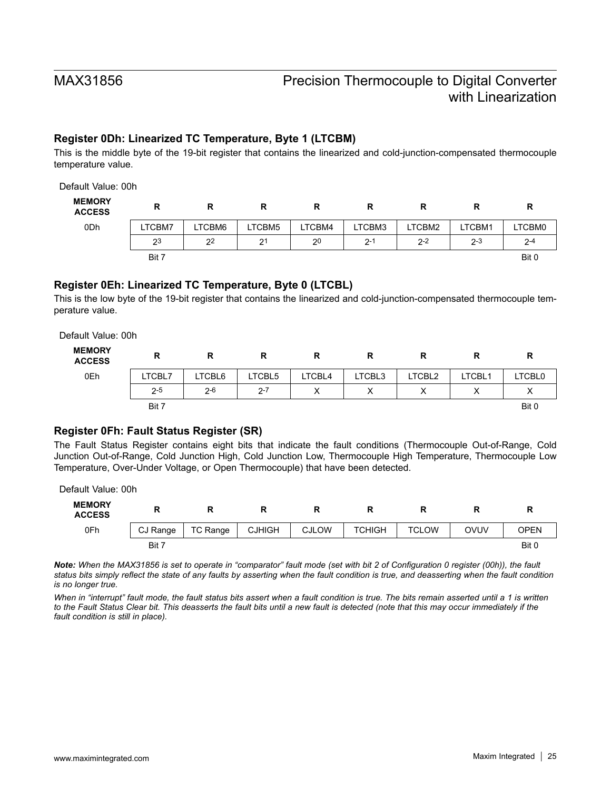### **Register 0Dh: Linearized TC Temperature, Byte 1 (LTCBM)**

This is the middle byte of the 19-bit register that contains the linearized and cold-junction-compensated thermocouple temperature value.

| Default Value: 00h             |        |                |                |                |         |         |         |         |
|--------------------------------|--------|----------------|----------------|----------------|---------|---------|---------|---------|
| <b>MEMORY</b><br><b>ACCESS</b> | R      | R              | R              | R              | R       | R       | R       | R       |
| 0 <sub>Dh</sub>                | LTCBM7 | LTCBM6         | LTCBM5         | LTCBM4         | LTCBM3  | LTCBM2  | LTCBM1  | LTCBM0  |
|                                | 23     | 2 <sup>2</sup> | 2 <sup>1</sup> | 2 <sup>0</sup> | $2 - 1$ | $2 - 2$ | $2 - 3$ | $2 - 4$ |
|                                | Bit 7  |                |                |                |         |         |         | Bit 0   |

### **Register 0Eh: Linearized TC Temperature, Byte 0 (LTCBL)**

This is the low byte of the 19-bit register that contains the linearized and cold-junction-compensated thermocouple temperature value.

Default Value: 00h

| <b>MEMORY</b><br><b>ACCESS</b> | R       | R       | R       |        |        |        |        | R             |
|--------------------------------|---------|---------|---------|--------|--------|--------|--------|---------------|
| 0Eh                            | LTCBL7  | LTCBL6  | LTCBL5  | LTCBL4 | LTCBL3 | LTCBL2 | LTCBL1 | <b>LTCBL0</b> |
|                                | $2 - 5$ | $2 - 6$ | $2 - 7$ | ∧      | ⌒      | v<br>∧ | v<br>⌒ | ⌒             |
|                                | Bit 7   |         |         |        |        |        |        | Bit 0         |

### **Register 0Fh: Fault Status Register (SR)**

The Fault Status Register contains eight bits that indicate the fault conditions (Thermocouple Out-of-Range, Cold Junction Out-of-Range, Cold Junction High, Cold Junction Low, Thermocouple High Temperature, Thermocouple Low Temperature, Over-Under Voltage, or Open Thermocouple) that have been detected.

Default Value: 00h

| <b>MEMORY</b><br><b>ACCESS</b> | −        |          |               |              |               |              |      |       |  |
|--------------------------------|----------|----------|---------------|--------------|---------------|--------------|------|-------|--|
| 0Fh                            | CJ Range | TC Range | <b>CJHIGH</b> | <b>CJLOW</b> | <b>TCHIGH</b> | <b>TCLOW</b> | OVUV | OPEN  |  |
|                                | Bit 7    |          |               |              |               |              |      | Bit 0 |  |

*Note: When the MAX31856 is set to operate in "comparator" fault mode (set with bit 2 of Configuration 0 register (00h)), the fault status bits simply reflect the state of any faults by asserting when the fault condition is true, and deasserting when the fault condition is no longer true.*

*When in "interrupt" fault mode, the fault status bits assert when a fault condition is true. The bits remain asserted until a 1 is written*  to the Fault Status Clear bit. This deasserts the fault bits until a new fault is detected (note that this may occur immediately if the *fault condition is still in place).*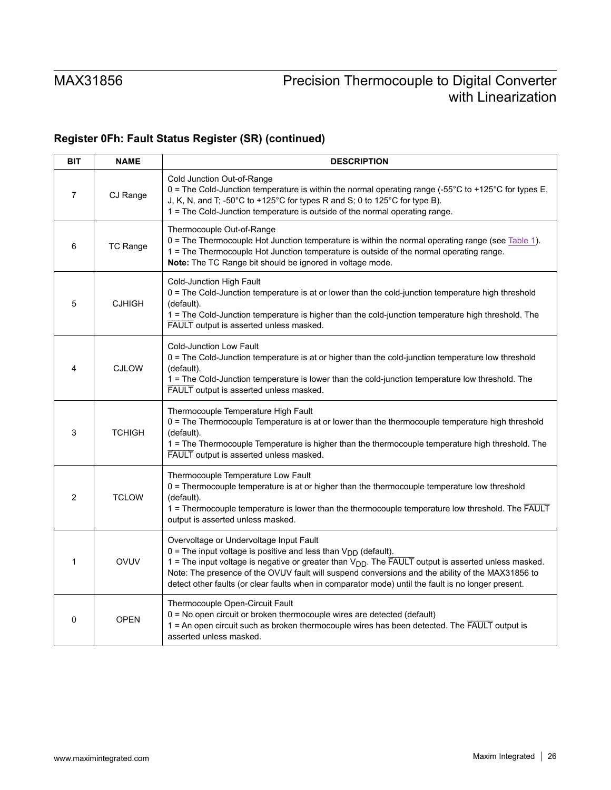# **Register 0Fh: Fault Status Register (SR) (continued)**

| <b>BIT</b>     | <b>NAME</b>   | <b>DESCRIPTION</b>                                                                                                                                                                                                                                                                                                                                                                                                                                 |
|----------------|---------------|----------------------------------------------------------------------------------------------------------------------------------------------------------------------------------------------------------------------------------------------------------------------------------------------------------------------------------------------------------------------------------------------------------------------------------------------------|
| $\overline{7}$ | CJ Range      | Cold Junction Out-of-Range<br>0 = The Cold-Junction temperature is within the normal operating range (-55 $\degree$ C to +125 $\degree$ C for types E,<br>J, K, N, and T, -50°C to +125°C for types R and S; 0 to 125°C for type B).<br>1 = The Cold-Junction temperature is outside of the normal operating range.                                                                                                                                |
| 6              | TC Range      | Thermocouple Out-of-Range<br>0 = The Thermocouple Hot Junction temperature is within the normal operating range (see Table 1).<br>1 = The Thermocouple Hot Junction temperature is outside of the normal operating range.<br>Note: The TC Range bit should be ignored in voltage mode.                                                                                                                                                             |
| 5              | <b>CJHIGH</b> | Cold-Junction High Fault<br>0 = The Cold-Junction temperature is at or lower than the cold-junction temperature high threshold<br>(default).<br>1 = The Cold-Junction temperature is higher than the cold-junction temperature high threshold. The<br>FAULT output is asserted unless masked.                                                                                                                                                      |
| 4              | <b>CJLOW</b>  | <b>Cold-Junction Low Fault</b><br>0 = The Cold-Junction temperature is at or higher than the cold-junction temperature low threshold<br>(default).<br>1 = The Cold-Junction temperature is lower than the cold-junction temperature low threshold. The<br>FAULT output is asserted unless masked.                                                                                                                                                  |
| 3              | <b>TCHIGH</b> | Thermocouple Temperature High Fault<br>0 = The Thermocouple Temperature is at or lower than the thermocouple temperature high threshold<br>(default).<br>1 = The Thermocouple Temperature is higher than the thermocouple temperature high threshold. The<br>FAULT output is asserted unless masked.                                                                                                                                               |
| 2              | <b>TCLOW</b>  | Thermocouple Temperature Low Fault<br>0 = Thermocouple temperature is at or higher than the thermocouple temperature low threshold<br>(default).<br>1 = Thermocouple temperature is lower than the thermocouple temperature low threshold. The FAULT<br>output is asserted unless masked.                                                                                                                                                          |
| 1              | OVUV          | Overvoltage or Undervoltage Input Fault<br>0 = The input voltage is positive and less than $V_{DD}$ (default).<br>1 = The input voltage is negative or greater than $V_{DD}$ . The $\overline{FAULT}$ output is asserted unless masked.<br>Note: The presence of the OVUV fault will suspend conversions and the ability of the MAX31856 to<br>detect other faults (or clear faults when in comparator mode) until the fault is no longer present. |
| $\Omega$       | <b>OPEN</b>   | Thermocouple Open-Circuit Fault<br>0 = No open circuit or broken thermocouple wires are detected (default)<br>1 = An open circuit such as broken thermocouple wires has been detected. The FAULT output is<br>asserted unless masked.                                                                                                                                                                                                              |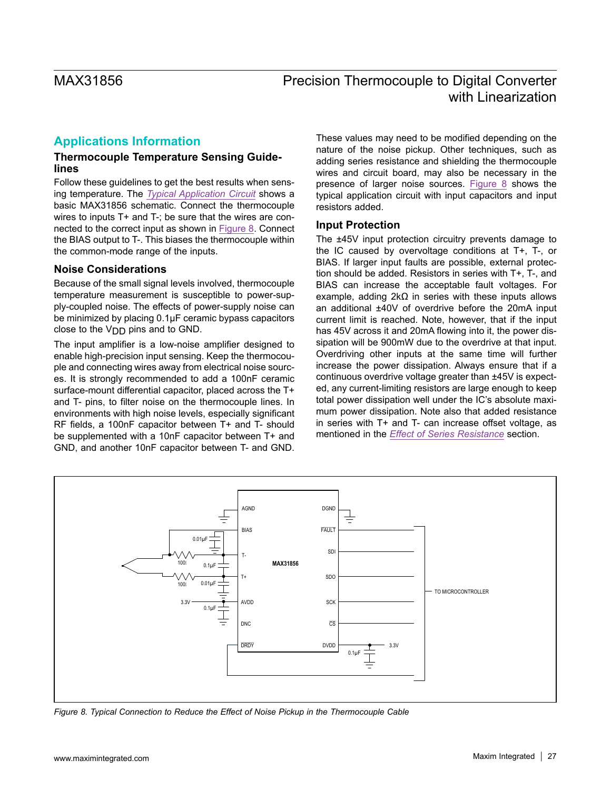# <span id="page-26-0"></span>**Applications Information**

### **Thermocouple Temperature Sensing Guidelines**

Follow these guidelines to get the best results when sensing temperature. The *[Typical Application Circuit](#page-0-0)* shows a basic MAX31856 schematic. Connect the thermocouple wires to inputs T+ and T-; be sure that the wires are connected to the correct input as shown in [Figure 8](#page-26-1). Connect the BIAS output to T-. This biases the thermocouple within the common-mode range of the inputs.

### **Noise Considerations**

Because of the small signal levels involved, thermocouple temperature measurement is susceptible to power-supply-coupled noise. The effects of power-supply noise can be minimized by placing 0.1µF ceramic bypass capacitors close to the V<sub>DD</sub> pins and to GND.

The input amplifier is a low-noise amplifier designed to enable high-precision input sensing. Keep the thermocouple and connecting wires away from electrical noise sources. It is strongly recommended to add a 100nF ceramic surface-mount differential capacitor, placed across the T+ and T- pins, to filter noise on the thermocouple lines. In environments with high noise levels, especially significant RF fields, a 100nF capacitor between T+ and T- should be supplemented with a 10nF capacitor between T+ and GND, and another 10nF capacitor between T- and GND.

These values may need to be modified depending on the nature of the noise pickup. Other techniques, such as adding series resistance and shielding the thermocouple wires and circuit board, may also be necessary in the presence of larger noise sources. [Figure 8](#page-26-1) shows the typical application circuit with input capacitors and input resistors added.

### **Input Protection**

The ±45V input protection circuitry prevents damage to the IC caused by overvoltage conditions at T+, T-, or BIAS. If larger input faults are possible, external protection should be added. Resistors in series with T+, T-, and BIAS can increase the acceptable fault voltages. For example, adding 2kΩ in series with these inputs allows an additional ±40V of overdrive before the 20mA input current limit is reached. Note, however, that if the input has 45V across it and 20mA flowing into it, the power dissipation will be 900mW due to the overdrive at that input. Overdriving other inputs at the same time will further increase the power dissipation. Always ensure that if a continuous overdrive voltage greater than ±45V is expected, any current-limiting resistors are large enough to keep total power dissipation well under the IC's absolute maximum power dissipation. Note also that added resistance in series with T+ and T- can increase offset voltage, as mentioned in the *[Effect of Series Resistance](#page-27-0)* section.

<span id="page-26-1"></span>

*Figure 8. Typical Connection to Reduce the Effect of Noise Pickup in the Thermocouple Cable*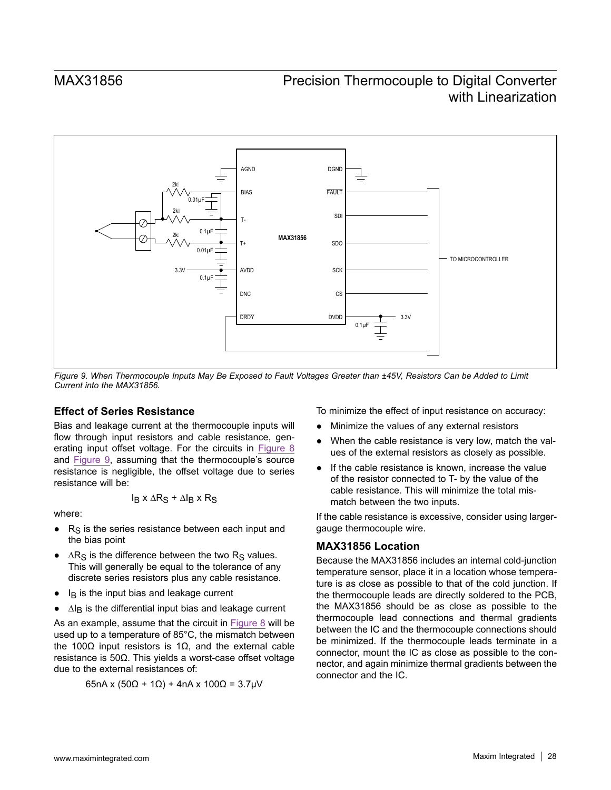<span id="page-27-1"></span>

*Figure 9. When Thermocouple Inputs May Be Exposed to Fault Voltages Greater than ±45V, Resistors Can be Added to Limit Current into the MAX31856.*

### <span id="page-27-0"></span>**Effect of Series Resistance**

Bias and leakage current at the thermocouple inputs will flow through input resistors and cable resistance, generating input offset voltage. For the circuits in [Figure 8](#page-26-1) and [Figure 9](#page-27-1), assuming that the thermocouple's source resistance is negligible, the offset voltage due to series resistance will be:

$$
I_B \times \Delta R_S + \Delta I_B \times R_S
$$

where:

- $R<sub>S</sub>$  is the series resistance between each input and the bias point
- $\triangle$  ∆R<sub>S</sub> is the difference between the two R<sub>S</sub> values. This will generally be equal to the tolerance of any discrete series resistors plus any cable resistance.
- $\bullet$  I<sub>B</sub> is the input bias and leakage current
- ∆I<sub>B</sub> is the differential input bias and leakage current

As an example, assume that the circuit in [Figure 8](#page-26-1) will be used up to a temperature of 85°C, the mismatch between the 100Ω input resistors is 1Ω, and the external cable resistance is 50Ω. This yields a worst-case offset voltage due to the external resistances of:

$$
65nA x (50\Omega + 1\Omega) + 4nA x 100\Omega = 3.7\mu V
$$

To minimize the effect of input resistance on accuracy:

- Minimize the values of any external resistors
- When the cable resistance is very low, match the values of the external resistors as closely as possible.
- If the cable resistance is known, increase the value of the resistor connected to T- by the value of the cable resistance. This will minimize the total mismatch between the two inputs.

If the cable resistance is excessive, consider using largergauge thermocouple wire.

### **MAX31856 Location**

Because the MAX31856 includes an internal cold-junction temperature sensor, place it in a location whose temperature is as close as possible to that of the cold junction. If the thermocouple leads are directly soldered to the PCB, the MAX31856 should be as close as possible to the thermocouple lead connections and thermal gradients between the IC and the thermocouple connections should be minimized. If the thermocouple leads terminate in a connector, mount the IC as close as possible to the connector, and again minimize thermal gradients between the connector and the IC.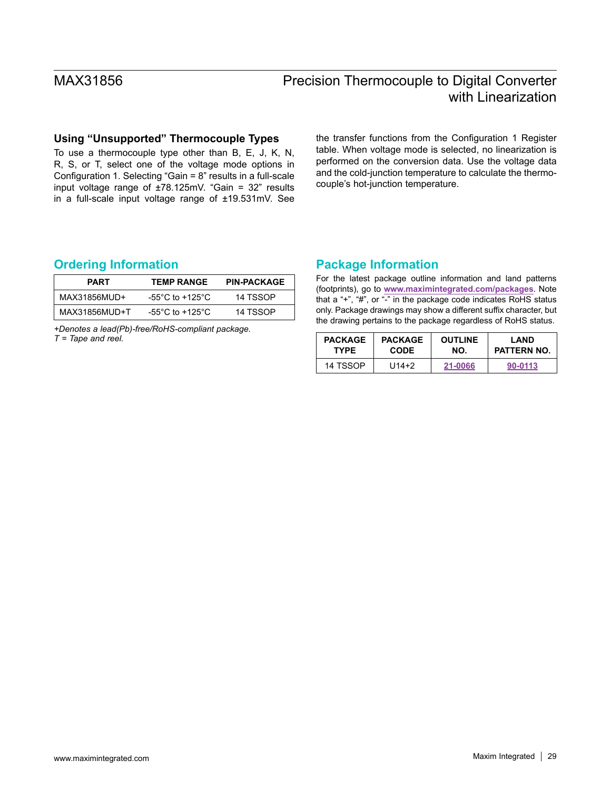### **Using "Unsupported" Thermocouple Types**

To use a thermocouple type other than B, E, J, K, N, R, S, or T, select one of the voltage mode options in Configuration 1. Selecting "Gain = 8" results in a full-scale input voltage range of  $\pm 78.125$ mV. "Gain = 32" results in a full-scale input voltage range of ±19.531mV. See the transfer functions from the Configuration 1 Register table. When voltage mode is selected, no linearization is performed on the conversion data. Use the voltage data and the cold-junction temperature to calculate the thermocouple's hot-junction temperature.

### <span id="page-28-0"></span>**Ordering Information Package Information**

| <b>PART</b>   | <b>TEMP RANGE</b> | <b>PIN-PACKAGE</b> |
|---------------|-------------------|--------------------|
| MAX31856MUD+  | -55°C to +125°C.  | 14 TSSOP           |
| MAX31856MUD+T | -55°C to +125°C.  | 14 TSSOP           |

*+Denotes a lead(Pb)-free/RoHS-compliant package. T = Tape and reel.*

For the latest package outline information and land patterns (footprints), go to **[www.maximintegrated.com/packages](http://www.maximintegrated.com/packages)**. Note that a "+", "#", or "-" in the package code indicates RoHS status only. Package drawings may show a different suffix character, but the drawing pertains to the package regardless of RoHS status.

| <b>PACKAGE</b> | <b>PACKAGE</b> | <b>OUTLINE</b> | LAND               |
|----------------|----------------|----------------|--------------------|
| <b>TYPE</b>    | <b>CODE</b>    | NO.            | <b>PATTERN NO.</b> |
| 14 TSSOP       | $U14+2$        | 21-0066        | 90-0113            |